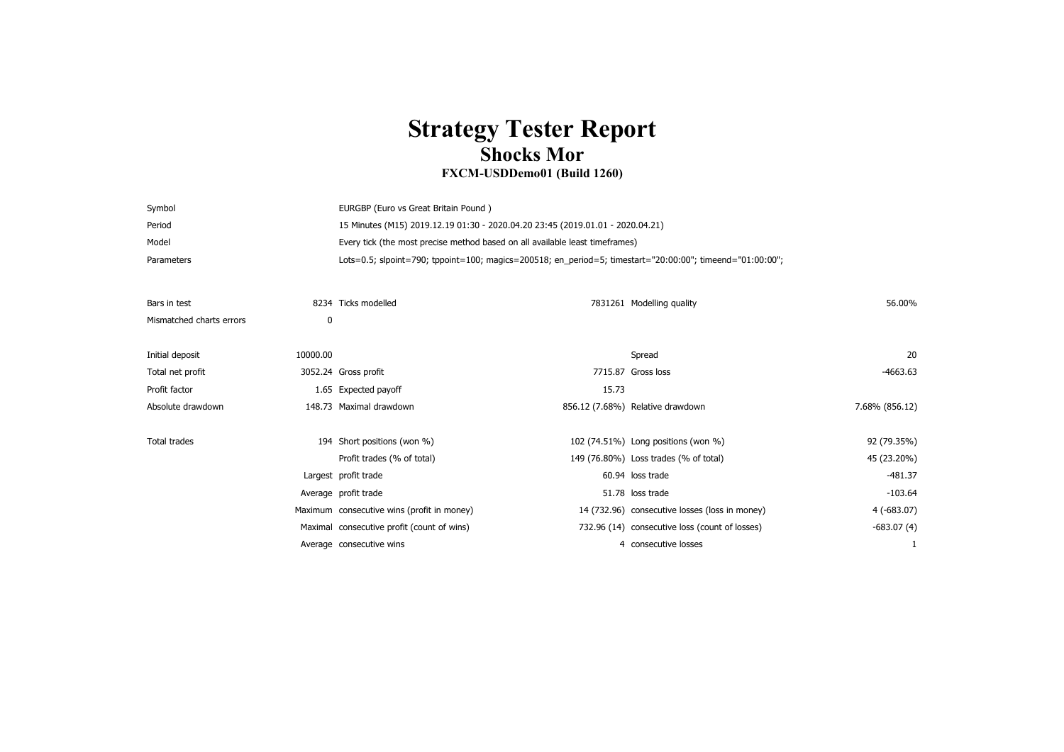## **Strategy Tester Report Shocks Mor**

## **FXCM-USDDemo01 (Build 1260)**

| Symbol     | EURGBP (Euro vs Great Britain Pound)                                                                      |
|------------|-----------------------------------------------------------------------------------------------------------|
| Period     | 15 Minutes (M15) 2019.12.19 01:30 - 2020.04.20 23:45 (2019.01.01 - 2020.04.21)                            |
| Model      | Every tick (the most precise method based on all available least time frames)                             |
| Parameters | Lots=0.5; slpoint=790; tppoint=100; magics=200518; en period=5; timestart="20:00:00"; timeend="01:00:00"; |

| Bars in test             |          | 8234 Ticks modelled                        |       | 7831261 Modelling quality                      | 56.00%         |  |
|--------------------------|----------|--------------------------------------------|-------|------------------------------------------------|----------------|--|
| Mismatched charts errors | 0        |                                            |       |                                                |                |  |
|                          |          |                                            |       |                                                |                |  |
| Initial deposit          | 10000.00 |                                            |       | Spread                                         | 20             |  |
| Total net profit         |          | 3052.24 Gross profit                       |       | 7715.87 Gross loss                             | $-4663.63$     |  |
| Profit factor            |          | 1.65 Expected payoff                       | 15.73 |                                                |                |  |
| Absolute drawdown        |          | 148.73 Maximal drawdown                    |       | 856.12 (7.68%) Relative drawdown               | 7.68% (856.12) |  |
|                          |          |                                            |       |                                                |                |  |
| Total trades             |          | 194 Short positions (won %)                |       | 102 (74.51%) Long positions (won %)            | 92 (79.35%)    |  |
|                          |          | Profit trades (% of total)                 |       | 149 (76.80%) Loss trades (% of total)          | 45 (23.20%)    |  |
|                          |          | Largest profit trade                       |       | 60.94 loss trade                               | -481.37        |  |
|                          |          | Average profit trade                       |       | 51.78 loss trade                               | $-103.64$      |  |
|                          |          | Maximum consecutive wins (profit in money) |       | 14 (732.96) consecutive losses (loss in money) | 4 (-683.07)    |  |
|                          |          | Maximal consecutive profit (count of wins) |       | 732.96 (14) consecutive loss (count of losses) | $-683.07(4)$   |  |
|                          |          | Average consecutive wins                   |       | 4 consecutive losses                           |                |  |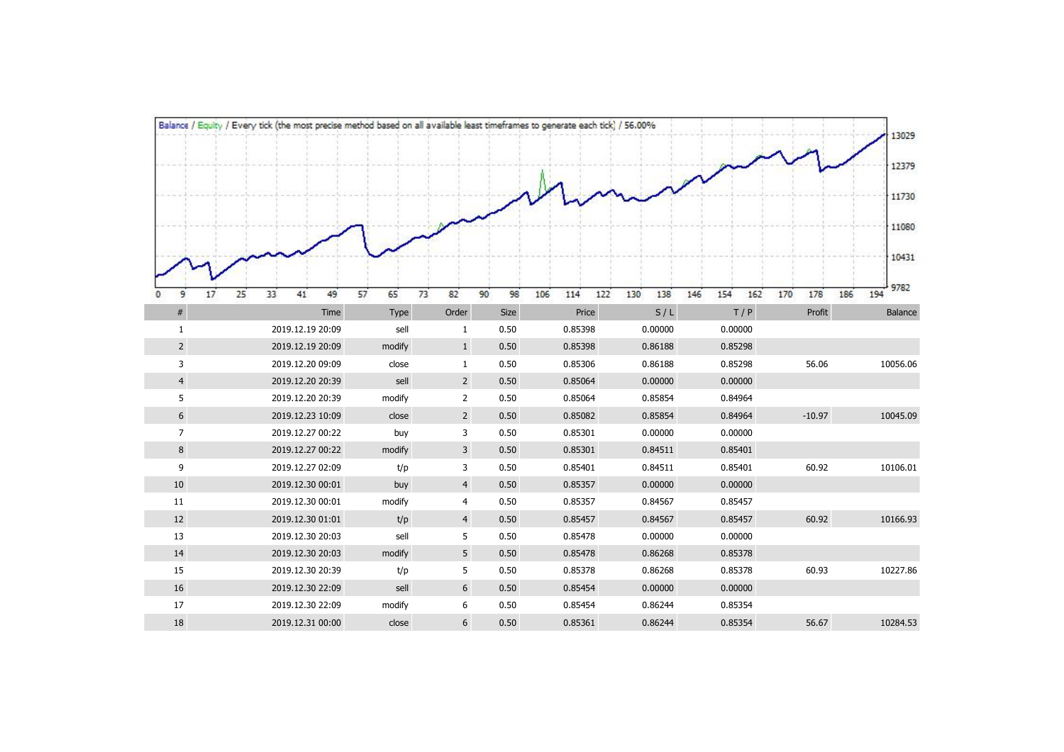|                | Balance / Equity / Every tick (the most precise method based on all available least timeframes to generate each tick) / 56.00% |          |                |          |                   |            |                   |            | 13029              |
|----------------|--------------------------------------------------------------------------------------------------------------------------------|----------|----------------|----------|-------------------|------------|-------------------|------------|--------------------|
|                |                                                                                                                                |          |                |          |                   |            |                   |            |                    |
|                |                                                                                                                                |          |                |          |                   |            |                   |            | 12379              |
|                |                                                                                                                                |          |                |          |                   |            |                   |            | 11730              |
|                |                                                                                                                                |          |                |          |                   |            |                   |            | 11080              |
|                |                                                                                                                                |          |                |          |                   |            |                   |            |                    |
|                |                                                                                                                                |          |                |          |                   |            |                   |            | 10431              |
| 25<br>17<br>9  | 33<br>41<br>49                                                                                                                 | 57<br>65 | 73<br>82       | 90<br>98 | 106<br>114<br>122 | 130<br>138 | 154<br>146<br>162 | 178<br>170 | 9782<br>194<br>186 |
| $\#$           | Time                                                                                                                           | Type     | Order          | Size     | Price             | S/L        | T/P               | Profit     | Balance            |
| $\mathbf{1}$   | 2019.12.19 20:09                                                                                                               | sell     | $\mathbf{1}$   | 0.50     | 0.85398           | 0.00000    | 0.00000           |            |                    |
| $\overline{2}$ | 2019.12.19 20:09                                                                                                               | modify   | $\mathbf{1}$   | 0.50     | 0.85398           | 0.86188    | 0.85298           |            |                    |
| 3              | 2019.12.20 09:09                                                                                                               | close    | $\mathbf{1}$   | 0.50     | 0.85306           | 0.86188    | 0.85298           | 56.06      | 10056.06           |
| $\overline{4}$ | 2019.12.20 20:39                                                                                                               | sell     | $\overline{2}$ | 0.50     | 0.85064           | 0.00000    | 0.00000           |            |                    |
| 5              | 2019.12.20 20:39                                                                                                               | modify   | $\overline{2}$ | 0.50     | 0.85064           | 0.85854    | 0.84964           |            |                    |
| 6              | 2019.12.23 10:09                                                                                                               | close    | $\overline{2}$ | 0.50     | 0.85082           | 0.85854    | 0.84964           | $-10.97$   | 10045.09           |
| $\overline{7}$ | 2019.12.27 00:22                                                                                                               | buy      | 3              | 0.50     | 0.85301           | 0.00000    | 0.00000           |            |                    |
| 8              | 2019.12.27 00:22                                                                                                               | modify   | $\overline{3}$ | 0.50     | 0.85301           | 0.84511    | 0.85401           |            |                    |
| 9              | 2019.12.27 02:09                                                                                                               | t/p      | 3              | 0.50     | 0.85401           | 0.84511    | 0.85401           | 60.92      | 10106.01           |
| $10\,$         | 2019.12.30 00:01                                                                                                               | buy      | $\overline{4}$ | 0.50     | 0.85357           | 0.00000    | 0.00000           |            |                    |
| 11             | 2019.12.30 00:01                                                                                                               | modify   | $\overline{4}$ | 0.50     | 0.85357           | 0.84567    | 0.85457           |            |                    |
| 12             | 2019.12.30 01:01                                                                                                               | t/p      | $\overline{4}$ | 0.50     | 0.85457           | 0.84567    | 0.85457           | 60.92      | 10166.93           |
| 13             | 2019.12.30 20:03                                                                                                               | sell     | 5              | 0.50     | 0.85478           | 0.00000    | 0.00000           |            |                    |
| 14             | 2019.12.30 20:03                                                                                                               | modify   | 5              | 0.50     | 0.85478           | 0.86268    | 0.85378           |            |                    |
| 15             | 2019.12.30 20:39                                                                                                               | t/p      | 5              | 0.50     | 0.85378           | 0.86268    | 0.85378           | 60.93      | 10227.86           |
| 16             | 2019.12.30 22:09                                                                                                               | sell     | 6              | 0.50     | 0.85454           | 0.00000    | 0.00000           |            |                    |
| 17             | 2019.12.30 22:09                                                                                                               | modify   | 6              | 0.50     | 0.85454           | 0.86244    | 0.85354           |            |                    |
| 18             | 2019.12.31 00:00                                                                                                               | close    | 6              | 0.50     | 0.85361           | 0.86244    | 0.85354           | 56.67      | 10284.53           |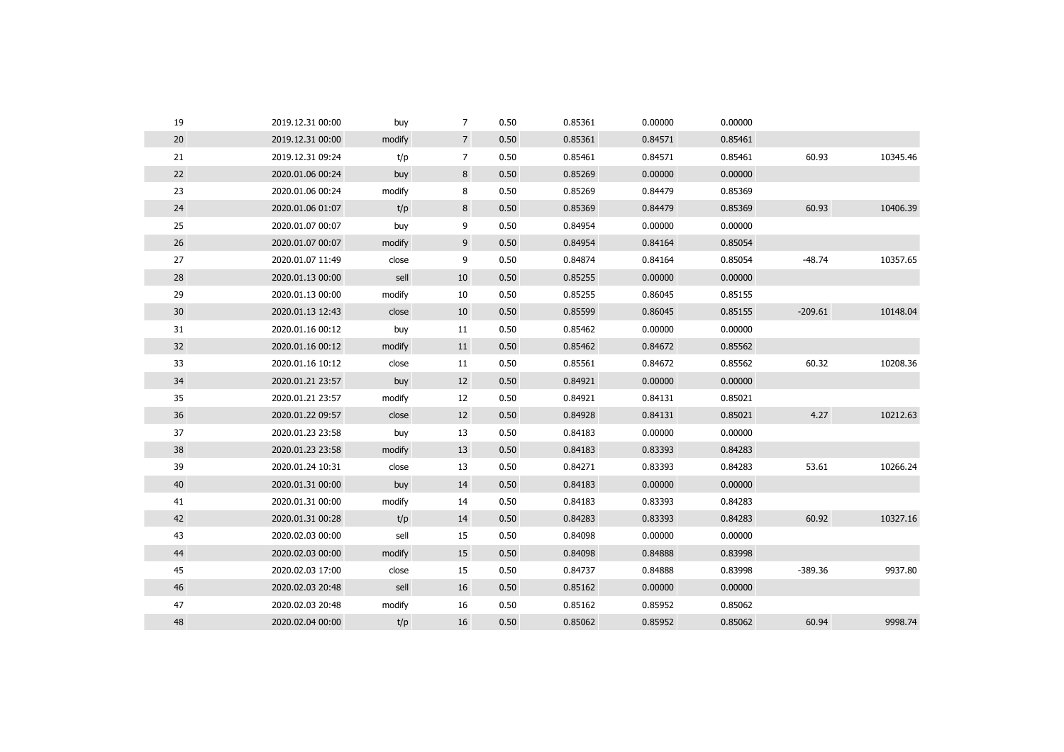| 19              | 2019.12.31 00:00 | buy    | $\overline{7}$ | 0.50 | 0.85361 | 0.00000 | 0.00000 |           |          |
|-----------------|------------------|--------|----------------|------|---------|---------|---------|-----------|----------|
| 20              | 2019.12.31 00:00 | modify | 7 <sup>1</sup> | 0.50 | 0.85361 | 0.84571 | 0.85461 |           |          |
| 21              | 2019.12.31 09:24 | t/p    | $\overline{7}$ | 0.50 | 0.85461 | 0.84571 | 0.85461 | 60.93     | 10345.46 |
| 22              | 2020.01.06 00:24 | buy    | 8              | 0.50 | 0.85269 | 0.00000 | 0.00000 |           |          |
| 23              | 2020.01.06 00:24 | modify | 8              | 0.50 | 0.85269 | 0.84479 | 0.85369 |           |          |
| 24              | 2020.01.06 01:07 | t/p    | 8              | 0.50 | 0.85369 | 0.84479 | 0.85369 | 60.93     | 10406.39 |
| 25              | 2020.01.07 00:07 | buy    | 9              | 0.50 | 0.84954 | 0.00000 | 0.00000 |           |          |
| 26              | 2020.01.07 00:07 | modify | 9              | 0.50 | 0.84954 | 0.84164 | 0.85054 |           |          |
| 27              | 2020.01.07 11:49 | close  | 9              | 0.50 | 0.84874 | 0.84164 | 0.85054 | $-48.74$  | 10357.65 |
| 28              | 2020.01.13 00:00 | sell   | 10             | 0.50 | 0.85255 | 0.00000 | 0.00000 |           |          |
| 29              | 2020.01.13 00:00 | modify | 10             | 0.50 | 0.85255 | 0.86045 | 0.85155 |           |          |
| 30 <sup>°</sup> | 2020.01.13 12:43 | close  | 10             | 0.50 | 0.85599 | 0.86045 | 0.85155 | $-209.61$ | 10148.04 |
| 31              | 2020.01.16 00:12 | buy    | 11             | 0.50 | 0.85462 | 0.00000 | 0.00000 |           |          |
| 32              | 2020.01.16 00:12 | modify | 11             | 0.50 | 0.85462 | 0.84672 | 0.85562 |           |          |
| 33              | 2020.01.16 10:12 | close  | 11             | 0.50 | 0.85561 | 0.84672 | 0.85562 | 60.32     | 10208.36 |
| 34              | 2020.01.21 23:57 | buy    | 12             | 0.50 | 0.84921 | 0.00000 | 0.00000 |           |          |
| 35              | 2020.01.21 23:57 | modify | 12             | 0.50 | 0.84921 | 0.84131 | 0.85021 |           |          |
| 36              | 2020.01.22 09:57 | close  | 12             | 0.50 | 0.84928 | 0.84131 | 0.85021 | 4.27      | 10212.63 |
| 37              | 2020.01.23 23:58 | buy    | 13             | 0.50 | 0.84183 | 0.00000 | 0.00000 |           |          |
| 38              | 2020.01.23 23:58 | modify | 13             | 0.50 | 0.84183 | 0.83393 | 0.84283 |           |          |
| 39              | 2020.01.24 10:31 | close  | 13             | 0.50 | 0.84271 | 0.83393 | 0.84283 | 53.61     | 10266.24 |
| 40              | 2020.01.31 00:00 | buy    | 14             | 0.50 | 0.84183 | 0.00000 | 0.00000 |           |          |
| 41              | 2020.01.31 00:00 | modify | 14             | 0.50 | 0.84183 | 0.83393 | 0.84283 |           |          |
| 42              | 2020.01.31 00:28 | t/p    | 14             | 0.50 | 0.84283 | 0.83393 | 0.84283 | 60.92     | 10327.16 |
| 43              | 2020.02.03 00:00 | sell   | 15             | 0.50 | 0.84098 | 0.00000 | 0.00000 |           |          |
| 44              | 2020.02.03 00:00 | modify | 15             | 0.50 | 0.84098 | 0.84888 | 0.83998 |           |          |
| 45              | 2020.02.03 17:00 | close  | 15             | 0.50 | 0.84737 | 0.84888 | 0.83998 | $-389.36$ | 9937.80  |
| 46              | 2020.02.03 20:48 | sell   | 16             | 0.50 | 0.85162 | 0.00000 | 0.00000 |           |          |
| 47              | 2020.02.03 20:48 | modify | 16             | 0.50 | 0.85162 | 0.85952 | 0.85062 |           |          |
| 48              | 2020.02.04 00:00 | t/p    | 16             | 0.50 | 0.85062 | 0.85952 | 0.85062 | 60.94     | 9998.74  |
|                 |                  |        |                |      |         |         |         |           |          |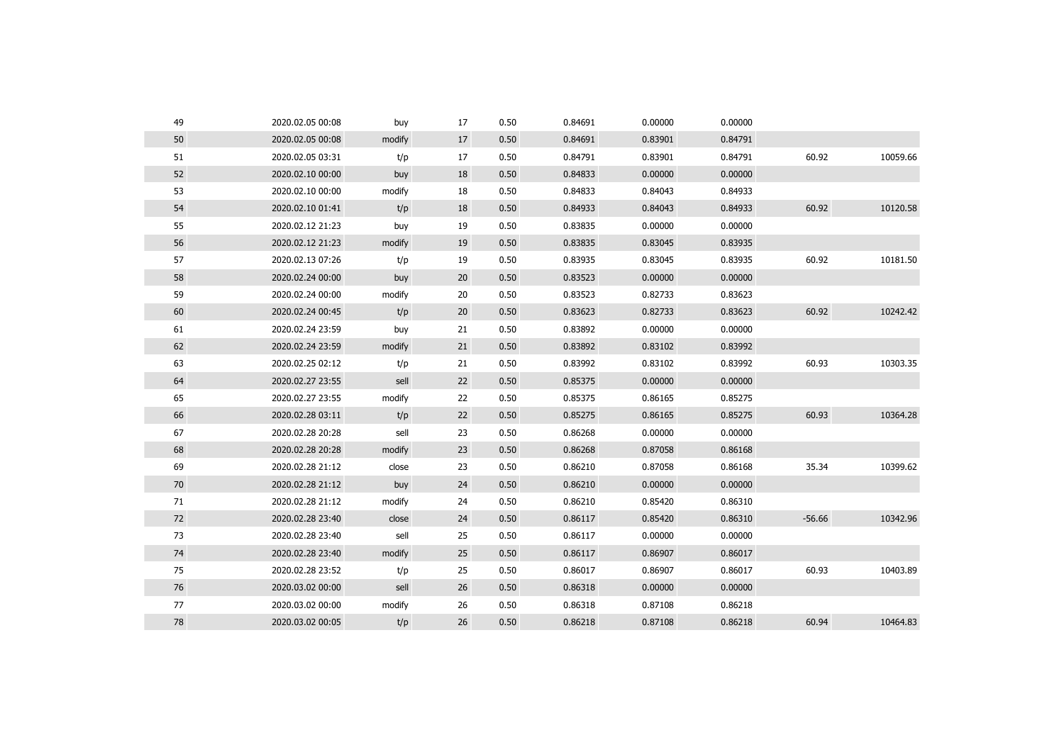| 49 | 2020.02.05 00:08 | buy    | 17 | 0.50 | 0.84691 | 0.00000 | 0.00000 |          |          |
|----|------------------|--------|----|------|---------|---------|---------|----------|----------|
| 50 | 2020.02.05 00:08 | modify | 17 | 0.50 | 0.84691 | 0.83901 | 0.84791 |          |          |
| 51 | 2020.02.05 03:31 | t/p    | 17 | 0.50 | 0.84791 | 0.83901 | 0.84791 | 60.92    | 10059.66 |
| 52 | 2020.02.10 00:00 | buy    | 18 | 0.50 | 0.84833 | 0.00000 | 0.00000 |          |          |
| 53 | 2020.02.10 00:00 | modify | 18 | 0.50 | 0.84833 | 0.84043 | 0.84933 |          |          |
| 54 | 2020.02.10 01:41 | t/p    | 18 | 0.50 | 0.84933 | 0.84043 | 0.84933 | 60.92    | 10120.58 |
| 55 | 2020.02.12 21:23 | buy    | 19 | 0.50 | 0.83835 | 0.00000 | 0.00000 |          |          |
| 56 | 2020.02.12 21:23 | modify | 19 | 0.50 | 0.83835 | 0.83045 | 0.83935 |          |          |
| 57 | 2020.02.13 07:26 | t/p    | 19 | 0.50 | 0.83935 | 0.83045 | 0.83935 | 60.92    | 10181.50 |
| 58 | 2020.02.24 00:00 | buy    | 20 | 0.50 | 0.83523 | 0.00000 | 0.00000 |          |          |
| 59 | 2020.02.24 00:00 | modify | 20 | 0.50 | 0.83523 | 0.82733 | 0.83623 |          |          |
| 60 | 2020.02.24 00:45 | t/p    | 20 | 0.50 | 0.83623 | 0.82733 | 0.83623 | 60.92    | 10242.42 |
| 61 | 2020.02.24 23:59 | buy    | 21 | 0.50 | 0.83892 | 0.00000 | 0.00000 |          |          |
| 62 | 2020.02.24 23:59 | modify | 21 | 0.50 | 0.83892 | 0.83102 | 0.83992 |          |          |
| 63 | 2020.02.25 02:12 | t/p    | 21 | 0.50 | 0.83992 | 0.83102 | 0.83992 | 60.93    | 10303.35 |
| 64 | 2020.02.27 23:55 | sell   | 22 | 0.50 | 0.85375 | 0.00000 | 0.00000 |          |          |
| 65 | 2020.02.27 23:55 | modify | 22 | 0.50 | 0.85375 | 0.86165 | 0.85275 |          |          |
| 66 | 2020.02.28 03:11 | t/p    | 22 | 0.50 | 0.85275 | 0.86165 | 0.85275 | 60.93    | 10364.28 |
| 67 | 2020.02.28 20:28 | sell   | 23 | 0.50 | 0.86268 | 0.00000 | 0.00000 |          |          |
| 68 | 2020.02.28 20:28 | modify | 23 | 0.50 | 0.86268 | 0.87058 | 0.86168 |          |          |
| 69 | 2020.02.28 21:12 | close  | 23 | 0.50 | 0.86210 | 0.87058 | 0.86168 | 35.34    | 10399.62 |
| 70 | 2020.02.28 21:12 | buy    | 24 | 0.50 | 0.86210 | 0.00000 | 0.00000 |          |          |
| 71 | 2020.02.28 21:12 | modify | 24 | 0.50 | 0.86210 | 0.85420 | 0.86310 |          |          |
| 72 | 2020.02.28 23:40 | close  | 24 | 0.50 | 0.86117 | 0.85420 | 0.86310 | $-56.66$ | 10342.96 |
| 73 | 2020.02.28 23:40 | sell   | 25 | 0.50 | 0.86117 | 0.00000 | 0.00000 |          |          |
| 74 | 2020.02.28 23:40 | modify | 25 | 0.50 | 0.86117 | 0.86907 | 0.86017 |          |          |
| 75 | 2020.02.28 23:52 | t/p    | 25 | 0.50 | 0.86017 | 0.86907 | 0.86017 | 60.93    | 10403.89 |
| 76 | 2020.03.02 00:00 | sell   | 26 | 0.50 | 0.86318 | 0.00000 | 0.00000 |          |          |
| 77 | 2020.03.02 00:00 | modify | 26 | 0.50 | 0.86318 | 0.87108 | 0.86218 |          |          |
| 78 | 2020.03.02 00:05 | t/p    | 26 | 0.50 | 0.86218 | 0.87108 | 0.86218 | 60.94    | 10464.83 |
|    |                  |        |    |      |         |         |         |          |          |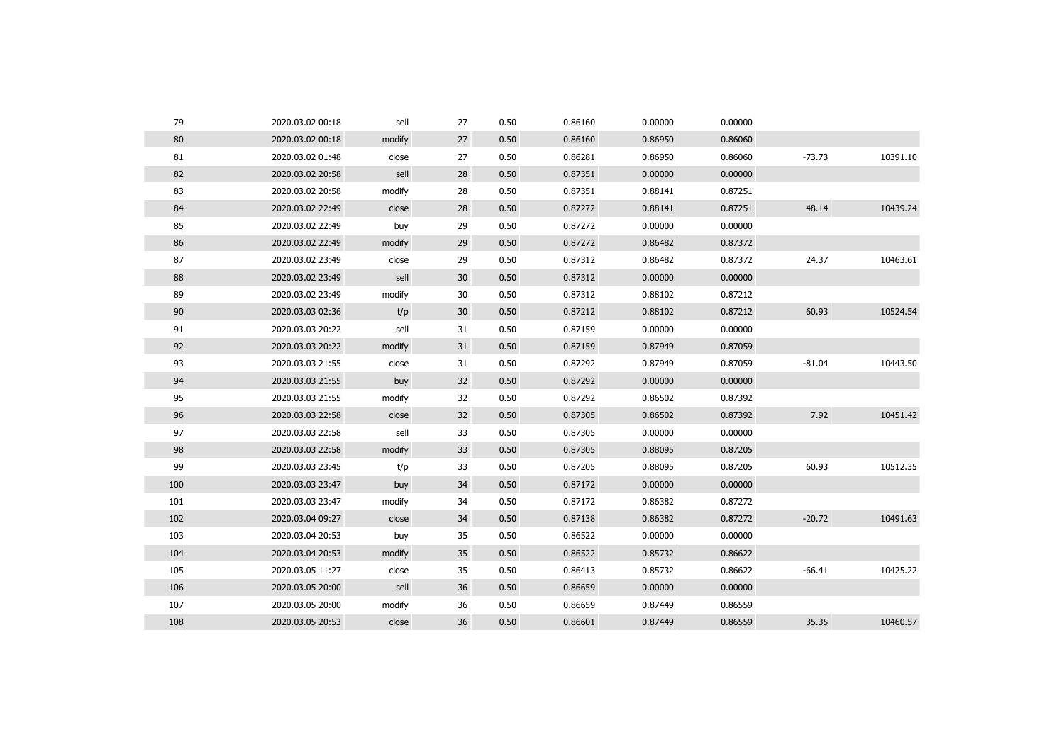| 79  | 2020.03.02 00:18 | sell   | 27              | 0.50 | 0.86160 | 0.00000 | 0.00000 |          |          |
|-----|------------------|--------|-----------------|------|---------|---------|---------|----------|----------|
| 80  | 2020.03.02 00:18 | modify | 27              | 0.50 | 0.86160 | 0.86950 | 0.86060 |          |          |
| 81  | 2020.03.02 01:48 | close  | 27              | 0.50 | 0.86281 | 0.86950 | 0.86060 | $-73.73$ | 10391.10 |
| 82  | 2020.03.02 20:58 | sell   | 28              | 0.50 | 0.87351 | 0.00000 | 0.00000 |          |          |
| 83  | 2020.03.02 20:58 | modify | 28              | 0.50 | 0.87351 | 0.88141 | 0.87251 |          |          |
| 84  | 2020.03.02 22:49 | close  | 28              | 0.50 | 0.87272 | 0.88141 | 0.87251 | 48.14    | 10439.24 |
| 85  | 2020.03.02 22:49 | buy    | 29              | 0.50 | 0.87272 | 0.00000 | 0.00000 |          |          |
| 86  | 2020.03.02 22:49 | modify | 29              | 0.50 | 0.87272 | 0.86482 | 0.87372 |          |          |
| 87  | 2020.03.02 23:49 | close  | 29              | 0.50 | 0.87312 | 0.86482 | 0.87372 | 24.37    | 10463.61 |
| 88  | 2020.03.02 23:49 | sell   | 30              | 0.50 | 0.87312 | 0.00000 | 0.00000 |          |          |
| 89  | 2020.03.02 23:49 | modify | 30              | 0.50 | 0.87312 | 0.88102 | 0.87212 |          |          |
| 90  | 2020.03.03 02:36 | t/p    | 30 <sup>°</sup> | 0.50 | 0.87212 | 0.88102 | 0.87212 | 60.93    | 10524.54 |
| 91  | 2020.03.03 20:22 | sell   | 31              | 0.50 | 0.87159 | 0.00000 | 0.00000 |          |          |
| 92  | 2020.03.03 20:22 | modify | 31              | 0.50 | 0.87159 | 0.87949 | 0.87059 |          |          |
| 93  | 2020.03.03 21:55 | close  | 31              | 0.50 | 0.87292 | 0.87949 | 0.87059 | $-81.04$ | 10443.50 |
| 94  | 2020.03.03 21:55 | buy    | 32              | 0.50 | 0.87292 | 0.00000 | 0.00000 |          |          |
| 95  | 2020.03.03 21:55 | modify | 32              | 0.50 | 0.87292 | 0.86502 | 0.87392 |          |          |
| 96  | 2020.03.03 22:58 | close  | 32              | 0.50 | 0.87305 | 0.86502 | 0.87392 | 7.92     | 10451.42 |
| 97  | 2020.03.03 22:58 | sell   | 33              | 0.50 | 0.87305 | 0.00000 | 0.00000 |          |          |
| 98  | 2020.03.03 22:58 | modify | 33              | 0.50 | 0.87305 | 0.88095 | 0.87205 |          |          |
| 99  | 2020.03.03 23:45 | t/p    | 33              | 0.50 | 0.87205 | 0.88095 | 0.87205 | 60.93    | 10512.35 |
| 100 | 2020.03.03 23:47 | buy    | 34              | 0.50 | 0.87172 | 0.00000 | 0.00000 |          |          |
| 101 | 2020.03.03 23:47 | modify | 34              | 0.50 | 0.87172 | 0.86382 | 0.87272 |          |          |
| 102 | 2020.03.04 09:27 | close  | 34              | 0.50 | 0.87138 | 0.86382 | 0.87272 | $-20.72$ | 10491.63 |
| 103 | 2020.03.04 20:53 | buy    | 35              | 0.50 | 0.86522 | 0.00000 | 0.00000 |          |          |
| 104 | 2020.03.04 20:53 | modify | 35              | 0.50 | 0.86522 | 0.85732 | 0.86622 |          |          |
| 105 | 2020.03.05 11:27 | close  | 35              | 0.50 | 0.86413 | 0.85732 | 0.86622 | $-66.41$ | 10425.22 |
| 106 | 2020.03.05 20:00 | sell   | 36              | 0.50 | 0.86659 | 0.00000 | 0.00000 |          |          |
| 107 | 2020.03.05 20:00 | modify | 36              | 0.50 | 0.86659 | 0.87449 | 0.86559 |          |          |
| 108 | 2020.03.05 20:53 | close  | 36              | 0.50 | 0.86601 | 0.87449 | 0.86559 | 35.35    | 10460.57 |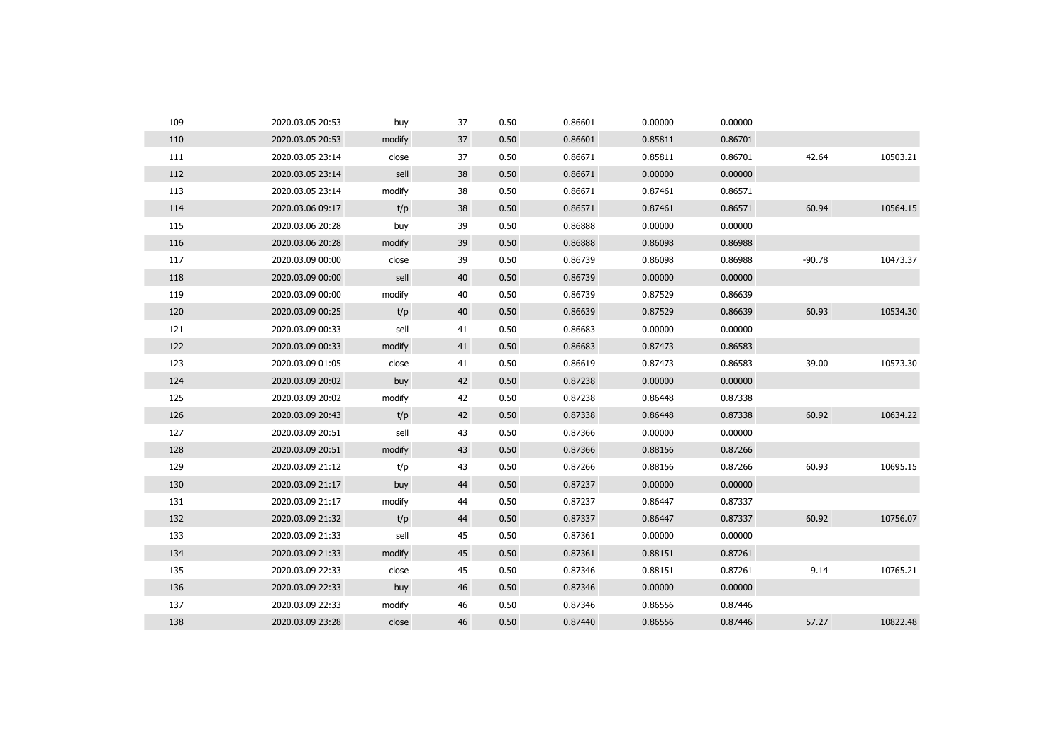| 109 | 2020.03.05 20:53 | buy    | 37 | 0.50 | 0.86601 | 0.00000 | 0.00000 |          |          |
|-----|------------------|--------|----|------|---------|---------|---------|----------|----------|
| 110 | 2020.03.05 20:53 | modify | 37 | 0.50 | 0.86601 | 0.85811 | 0.86701 |          |          |
| 111 | 2020.03.05 23:14 | close  | 37 | 0.50 | 0.86671 | 0.85811 | 0.86701 | 42.64    | 10503.21 |
| 112 | 2020.03.05 23:14 | sell   | 38 | 0.50 | 0.86671 | 0.00000 | 0.00000 |          |          |
| 113 | 2020.03.05 23:14 | modify | 38 | 0.50 | 0.86671 | 0.87461 | 0.86571 |          |          |
| 114 | 2020.03.06 09:17 | t/p    | 38 | 0.50 | 0.86571 | 0.87461 | 0.86571 | 60.94    | 10564.15 |
| 115 | 2020.03.06 20:28 | buy    | 39 | 0.50 | 0.86888 | 0.00000 | 0.00000 |          |          |
| 116 | 2020.03.06 20:28 | modify | 39 | 0.50 | 0.86888 | 0.86098 | 0.86988 |          |          |
| 117 | 2020.03.09 00:00 | close  | 39 | 0.50 | 0.86739 | 0.86098 | 0.86988 | $-90.78$ | 10473.37 |
| 118 | 2020.03.09 00:00 | sell   | 40 | 0.50 | 0.86739 | 0.00000 | 0.00000 |          |          |
| 119 | 2020.03.09 00:00 | modify | 40 | 0.50 | 0.86739 | 0.87529 | 0.86639 |          |          |
| 120 | 2020.03.09 00:25 | t/p    | 40 | 0.50 | 0.86639 | 0.87529 | 0.86639 | 60.93    | 10534.30 |
| 121 | 2020.03.09 00:33 | sell   | 41 | 0.50 | 0.86683 | 0.00000 | 0.00000 |          |          |
| 122 | 2020.03.09 00:33 | modify | 41 | 0.50 | 0.86683 | 0.87473 | 0.86583 |          |          |
| 123 | 2020.03.09 01:05 | close  | 41 | 0.50 | 0.86619 | 0.87473 | 0.86583 | 39.00    | 10573.30 |
| 124 | 2020.03.09 20:02 | buy    | 42 | 0.50 | 0.87238 | 0.00000 | 0.00000 |          |          |
| 125 | 2020.03.09 20:02 | modify | 42 | 0.50 | 0.87238 | 0.86448 | 0.87338 |          |          |
| 126 | 2020.03.09 20:43 | t/p    | 42 | 0.50 | 0.87338 | 0.86448 | 0.87338 | 60.92    | 10634.22 |
| 127 | 2020.03.09 20:51 | sell   | 43 | 0.50 | 0.87366 | 0.00000 | 0.00000 |          |          |
| 128 | 2020.03.09 20:51 | modify | 43 | 0.50 | 0.87366 | 0.88156 | 0.87266 |          |          |
| 129 | 2020.03.09 21:12 | t/p    | 43 | 0.50 | 0.87266 | 0.88156 | 0.87266 | 60.93    | 10695.15 |
| 130 | 2020.03.09 21:17 | buy    | 44 | 0.50 | 0.87237 | 0.00000 | 0.00000 |          |          |
| 131 | 2020.03.09 21:17 | modify | 44 | 0.50 | 0.87237 | 0.86447 | 0.87337 |          |          |
| 132 | 2020.03.09 21:32 | t/p    | 44 | 0.50 | 0.87337 | 0.86447 | 0.87337 | 60.92    | 10756.07 |
| 133 | 2020.03.09 21:33 | sell   | 45 | 0.50 | 0.87361 | 0.00000 | 0.00000 |          |          |
| 134 | 2020.03.09 21:33 | modify | 45 | 0.50 | 0.87361 | 0.88151 | 0.87261 |          |          |
| 135 | 2020.03.09 22:33 | close  | 45 | 0.50 | 0.87346 | 0.88151 | 0.87261 | 9.14     | 10765.21 |
| 136 | 2020.03.09 22:33 | buy    | 46 | 0.50 | 0.87346 | 0.00000 | 0.00000 |          |          |
| 137 | 2020.03.09 22:33 | modify | 46 | 0.50 | 0.87346 | 0.86556 | 0.87446 |          |          |
| 138 | 2020.03.09 23:28 | close  | 46 | 0.50 | 0.87440 | 0.86556 | 0.87446 | 57.27    | 10822.48 |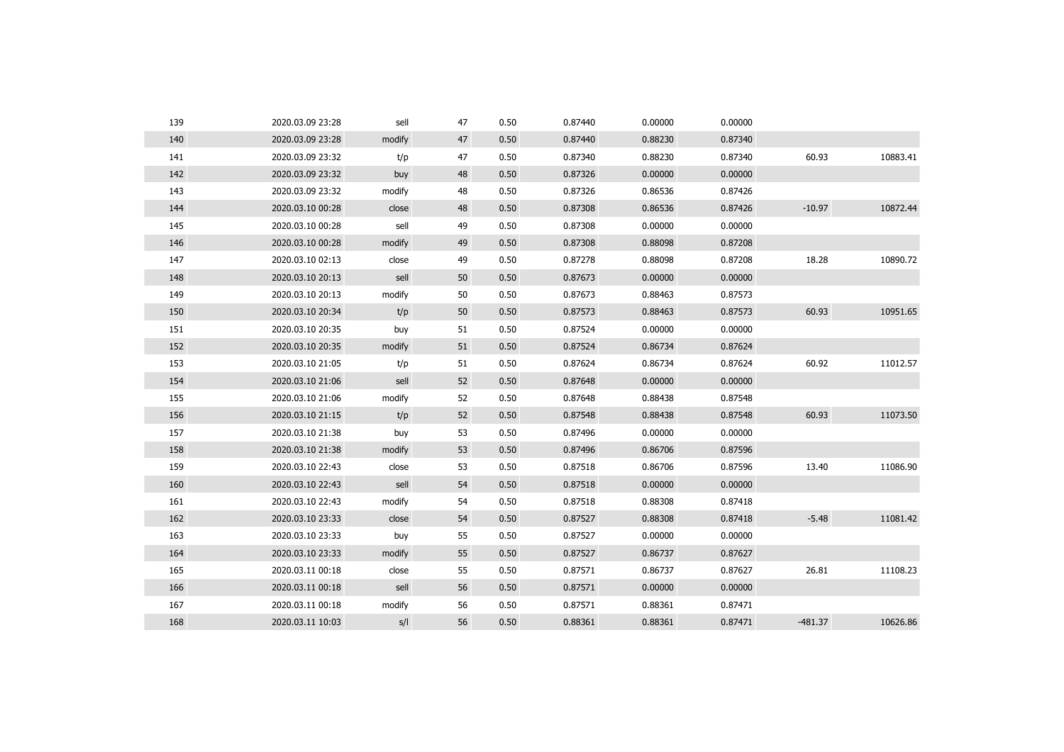| 139 | 2020.03.09 23:28 | sell   | 47 | 0.50 | 0.87440 | 0.00000 | 0.00000 |           |          |
|-----|------------------|--------|----|------|---------|---------|---------|-----------|----------|
| 140 | 2020.03.09 23:28 | modify | 47 | 0.50 | 0.87440 | 0.88230 | 0.87340 |           |          |
| 141 | 2020.03.09 23:32 | t/p    | 47 | 0.50 | 0.87340 | 0.88230 | 0.87340 | 60.93     | 10883.41 |
| 142 | 2020.03.09 23:32 | buy    | 48 | 0.50 | 0.87326 | 0.00000 | 0.00000 |           |          |
| 143 | 2020.03.09 23:32 | modify | 48 | 0.50 | 0.87326 | 0.86536 | 0.87426 |           |          |
| 144 | 2020.03.10 00:28 | close  | 48 | 0.50 | 0.87308 | 0.86536 | 0.87426 | $-10.97$  | 10872.44 |
| 145 | 2020.03.10 00:28 | sell   | 49 | 0.50 | 0.87308 | 0.00000 | 0.00000 |           |          |
| 146 | 2020.03.10 00:28 | modify | 49 | 0.50 | 0.87308 | 0.88098 | 0.87208 |           |          |
| 147 | 2020.03.10 02:13 | close  | 49 | 0.50 | 0.87278 | 0.88098 | 0.87208 | 18.28     | 10890.72 |
| 148 | 2020.03.10 20:13 | sell   | 50 | 0.50 | 0.87673 | 0.00000 | 0.00000 |           |          |
| 149 | 2020.03.10 20:13 | modify | 50 | 0.50 | 0.87673 | 0.88463 | 0.87573 |           |          |
| 150 | 2020.03.10 20:34 | t/p    | 50 | 0.50 | 0.87573 | 0.88463 | 0.87573 | 60.93     | 10951.65 |
| 151 | 2020.03.10 20:35 | buy    | 51 | 0.50 | 0.87524 | 0.00000 | 0.00000 |           |          |
| 152 | 2020.03.10 20:35 | modify | 51 | 0.50 | 0.87524 | 0.86734 | 0.87624 |           |          |
| 153 | 2020.03.10 21:05 | t/p    | 51 | 0.50 | 0.87624 | 0.86734 | 0.87624 | 60.92     | 11012.57 |
| 154 | 2020.03.10 21:06 | sell   | 52 | 0.50 | 0.87648 | 0.00000 | 0.00000 |           |          |
| 155 | 2020.03.10 21:06 | modify | 52 | 0.50 | 0.87648 | 0.88438 | 0.87548 |           |          |
| 156 | 2020.03.10 21:15 | t/p    | 52 | 0.50 | 0.87548 | 0.88438 | 0.87548 | 60.93     | 11073.50 |
| 157 | 2020.03.10 21:38 | buy    | 53 | 0.50 | 0.87496 | 0.00000 | 0.00000 |           |          |
| 158 | 2020.03.10 21:38 | modify | 53 | 0.50 | 0.87496 | 0.86706 | 0.87596 |           |          |
| 159 | 2020.03.10 22:43 | close  | 53 | 0.50 | 0.87518 | 0.86706 | 0.87596 | 13.40     | 11086.90 |
| 160 | 2020.03.10 22:43 | sell   | 54 | 0.50 | 0.87518 | 0.00000 | 0.00000 |           |          |
| 161 | 2020.03.10 22:43 | modify | 54 | 0.50 | 0.87518 | 0.88308 | 0.87418 |           |          |
| 162 | 2020.03.10 23:33 | close  | 54 | 0.50 | 0.87527 | 0.88308 | 0.87418 | $-5.48$   | 11081.42 |
| 163 | 2020.03.10 23:33 | buy    | 55 | 0.50 | 0.87527 | 0.00000 | 0.00000 |           |          |
| 164 | 2020.03.10 23:33 | modify | 55 | 0.50 | 0.87527 | 0.86737 | 0.87627 |           |          |
| 165 | 2020.03.11 00:18 | close  | 55 | 0.50 | 0.87571 | 0.86737 | 0.87627 | 26.81     | 11108.23 |
| 166 | 2020.03.11 00:18 | sell   | 56 | 0.50 | 0.87571 | 0.00000 | 0.00000 |           |          |
| 167 | 2020.03.11 00:18 | modify | 56 | 0.50 | 0.87571 | 0.88361 | 0.87471 |           |          |
| 168 | 2020.03.11 10:03 | S/I    | 56 | 0.50 | 0.88361 | 0.88361 | 0.87471 | $-481.37$ | 10626.86 |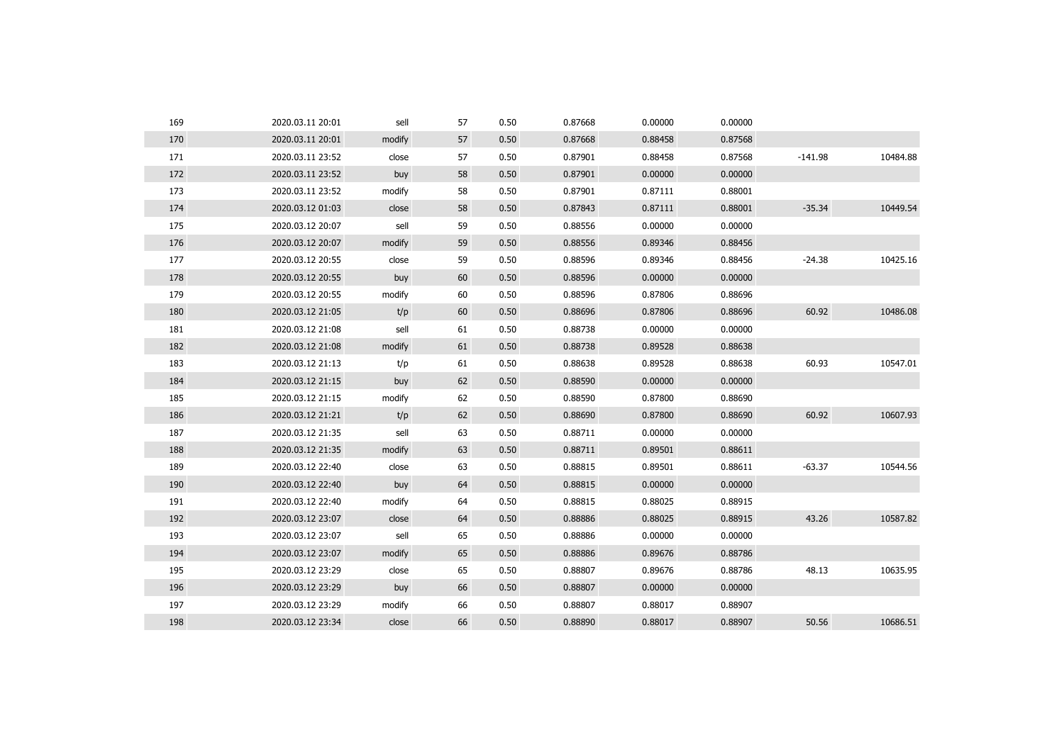| 169 | 2020.03.11 20:01 | sell   | 57 | 0.50 | 0.87668 | 0.00000 | 0.00000 |           |          |
|-----|------------------|--------|----|------|---------|---------|---------|-----------|----------|
| 170 | 2020.03.11 20:01 | modify | 57 | 0.50 | 0.87668 | 0.88458 | 0.87568 |           |          |
| 171 | 2020.03.11 23:52 | close  | 57 | 0.50 | 0.87901 | 0.88458 | 0.87568 | $-141.98$ | 10484.88 |
| 172 | 2020.03.11 23:52 | buy    | 58 | 0.50 | 0.87901 | 0.00000 | 0.00000 |           |          |
| 173 | 2020.03.11 23:52 | modify | 58 | 0.50 | 0.87901 | 0.87111 | 0.88001 |           |          |
| 174 | 2020.03.12 01:03 | close  | 58 | 0.50 | 0.87843 | 0.87111 | 0.88001 | $-35.34$  | 10449.54 |
| 175 | 2020.03.12 20:07 | sell   | 59 | 0.50 | 0.88556 | 0.00000 | 0.00000 |           |          |
| 176 | 2020.03.12 20:07 | modify | 59 | 0.50 | 0.88556 | 0.89346 | 0.88456 |           |          |
| 177 | 2020.03.12 20:55 | close  | 59 | 0.50 | 0.88596 | 0.89346 | 0.88456 | $-24.38$  | 10425.16 |
| 178 | 2020.03.12 20:55 | buy    | 60 | 0.50 | 0.88596 | 0.00000 | 0.00000 |           |          |
| 179 | 2020.03.12 20:55 | modify | 60 | 0.50 | 0.88596 | 0.87806 | 0.88696 |           |          |
| 180 | 2020.03.12 21:05 | t/p    | 60 | 0.50 | 0.88696 | 0.87806 | 0.88696 | 60.92     | 10486.08 |
| 181 | 2020.03.12 21:08 | sell   | 61 | 0.50 | 0.88738 | 0.00000 | 0.00000 |           |          |
| 182 | 2020.03.12 21:08 | modify | 61 | 0.50 | 0.88738 | 0.89528 | 0.88638 |           |          |
| 183 | 2020.03.12 21:13 | t/p    | 61 | 0.50 | 0.88638 | 0.89528 | 0.88638 | 60.93     | 10547.01 |
| 184 | 2020.03.12 21:15 | buy    | 62 | 0.50 | 0.88590 | 0.00000 | 0.00000 |           |          |
| 185 | 2020.03.12 21:15 | modify | 62 | 0.50 | 0.88590 | 0.87800 | 0.88690 |           |          |
| 186 | 2020.03.12 21:21 | t/p    | 62 | 0.50 | 0.88690 | 0.87800 | 0.88690 | 60.92     | 10607.93 |
| 187 | 2020.03.12 21:35 | sell   | 63 | 0.50 | 0.88711 | 0.00000 | 0.00000 |           |          |
| 188 | 2020.03.12 21:35 | modify | 63 | 0.50 | 0.88711 | 0.89501 | 0.88611 |           |          |
| 189 | 2020.03.12 22:40 | close  | 63 | 0.50 | 0.88815 | 0.89501 | 0.88611 | $-63.37$  | 10544.56 |
| 190 | 2020.03.12 22:40 | buy    | 64 | 0.50 | 0.88815 | 0.00000 | 0.00000 |           |          |
| 191 | 2020.03.12 22:40 | modify | 64 | 0.50 | 0.88815 | 0.88025 | 0.88915 |           |          |
| 192 | 2020.03.12 23:07 | close  | 64 | 0.50 | 0.88886 | 0.88025 | 0.88915 | 43.26     | 10587.82 |
| 193 | 2020.03.12 23:07 | sell   | 65 | 0.50 | 0.88886 | 0.00000 | 0.00000 |           |          |
| 194 | 2020.03.12 23:07 | modify | 65 | 0.50 | 0.88886 | 0.89676 | 0.88786 |           |          |
| 195 | 2020.03.12 23:29 | close  | 65 | 0.50 | 0.88807 | 0.89676 | 0.88786 | 48.13     | 10635.95 |
| 196 | 2020.03.12 23:29 | buy    | 66 | 0.50 | 0.88807 | 0.00000 | 0.00000 |           |          |
| 197 | 2020.03.12 23:29 | modify | 66 | 0.50 | 0.88807 | 0.88017 | 0.88907 |           |          |
| 198 | 2020.03.12 23:34 | close  | 66 | 0.50 | 0.88890 | 0.88017 | 0.88907 | 50.56     | 10686.51 |
|     |                  |        |    |      |         |         |         |           |          |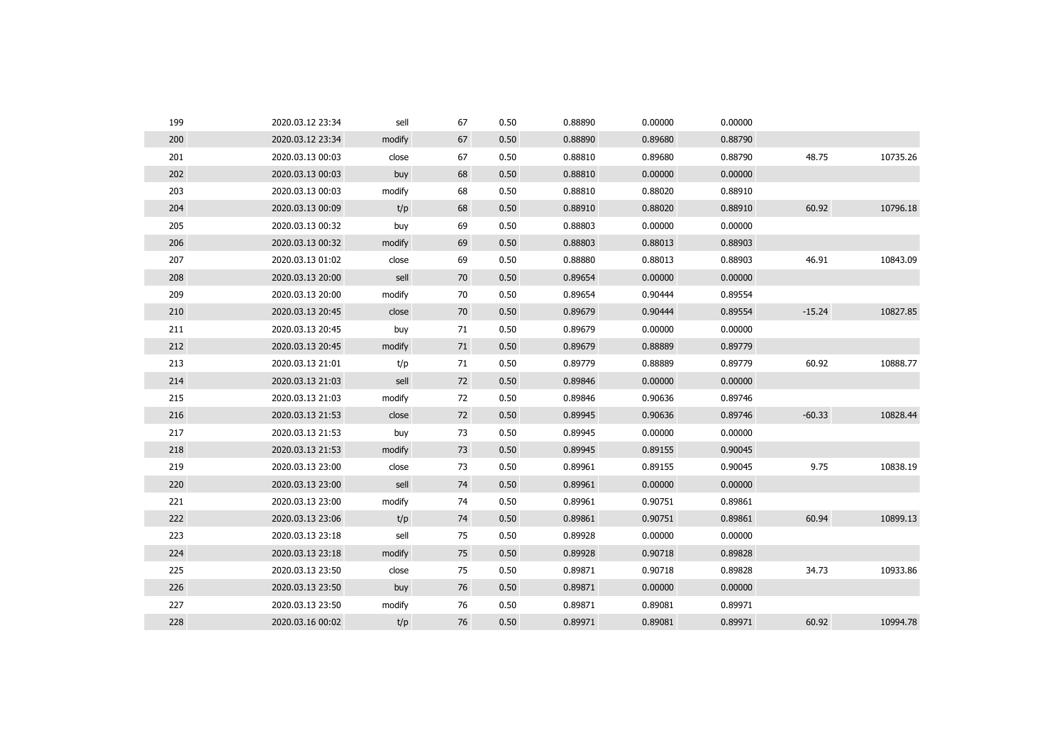| 199 | 2020.03.12 23:34 | sell   | 67 | 0.50 | 0.88890 | 0.00000 | 0.00000 |          |          |
|-----|------------------|--------|----|------|---------|---------|---------|----------|----------|
| 200 | 2020.03.12 23:34 | modify | 67 | 0.50 | 0.88890 | 0.89680 | 0.88790 |          |          |
| 201 | 2020.03.13 00:03 | close  | 67 | 0.50 | 0.88810 | 0.89680 | 0.88790 | 48.75    | 10735.26 |
| 202 | 2020.03.13 00:03 | buy    | 68 | 0.50 | 0.88810 | 0.00000 | 0.00000 |          |          |
| 203 | 2020.03.13 00:03 | modify | 68 | 0.50 | 0.88810 | 0.88020 | 0.88910 |          |          |
| 204 | 2020.03.13 00:09 | t/p    | 68 | 0.50 | 0.88910 | 0.88020 | 0.88910 | 60.92    | 10796.18 |
| 205 | 2020.03.13 00:32 | buy    | 69 | 0.50 | 0.88803 | 0.00000 | 0.00000 |          |          |
| 206 | 2020.03.13 00:32 | modify | 69 | 0.50 | 0.88803 | 0.88013 | 0.88903 |          |          |
| 207 | 2020.03.13 01:02 | close  | 69 | 0.50 | 0.88880 | 0.88013 | 0.88903 | 46.91    | 10843.09 |
| 208 | 2020.03.13 20:00 | sell   | 70 | 0.50 | 0.89654 | 0.00000 | 0.00000 |          |          |
| 209 | 2020.03.13 20:00 | modify | 70 | 0.50 | 0.89654 | 0.90444 | 0.89554 |          |          |
| 210 | 2020.03.13 20:45 | close  | 70 | 0.50 | 0.89679 | 0.90444 | 0.89554 | $-15.24$ | 10827.85 |
| 211 | 2020.03.13 20:45 | buy    | 71 | 0.50 | 0.89679 | 0.00000 | 0.00000 |          |          |
| 212 | 2020.03.13 20:45 | modify | 71 | 0.50 | 0.89679 | 0.88889 | 0.89779 |          |          |
| 213 | 2020.03.13 21:01 | t/p    | 71 | 0.50 | 0.89779 | 0.88889 | 0.89779 | 60.92    | 10888.77 |
| 214 | 2020.03.13 21:03 | sell   | 72 | 0.50 | 0.89846 | 0.00000 | 0.00000 |          |          |
| 215 | 2020.03.13 21:03 | modify | 72 | 0.50 | 0.89846 | 0.90636 | 0.89746 |          |          |
| 216 | 2020.03.13 21:53 | close  | 72 | 0.50 | 0.89945 | 0.90636 | 0.89746 | $-60.33$ | 10828.44 |
| 217 | 2020.03.13 21:53 | buy    | 73 | 0.50 | 0.89945 | 0.00000 | 0.00000 |          |          |
| 218 | 2020.03.13 21:53 | modify | 73 | 0.50 | 0.89945 | 0.89155 | 0.90045 |          |          |
| 219 | 2020.03.13 23:00 | close  | 73 | 0.50 | 0.89961 | 0.89155 | 0.90045 | 9.75     | 10838.19 |
| 220 | 2020.03.13 23:00 | sell   | 74 | 0.50 | 0.89961 | 0.00000 | 0.00000 |          |          |
| 221 | 2020.03.13 23:00 | modify | 74 | 0.50 | 0.89961 | 0.90751 | 0.89861 |          |          |
| 222 | 2020.03.13 23:06 | t/p    | 74 | 0.50 | 0.89861 | 0.90751 | 0.89861 | 60.94    | 10899.13 |
| 223 | 2020.03.13 23:18 | sell   | 75 | 0.50 | 0.89928 | 0.00000 | 0.00000 |          |          |
| 224 | 2020.03.13 23:18 | modify | 75 | 0.50 | 0.89928 | 0.90718 | 0.89828 |          |          |
| 225 | 2020.03.13 23:50 | close  | 75 | 0.50 | 0.89871 | 0.90718 | 0.89828 | 34.73    | 10933.86 |
| 226 | 2020.03.13 23:50 | buy    | 76 | 0.50 | 0.89871 | 0.00000 | 0.00000 |          |          |
| 227 | 2020.03.13 23:50 | modify | 76 | 0.50 | 0.89871 | 0.89081 | 0.89971 |          |          |
| 228 | 2020.03.16 00:02 | t/p    | 76 | 0.50 | 0.89971 | 0.89081 | 0.89971 | 60.92    | 10994.78 |
|     |                  |        |    |      |         |         |         |          |          |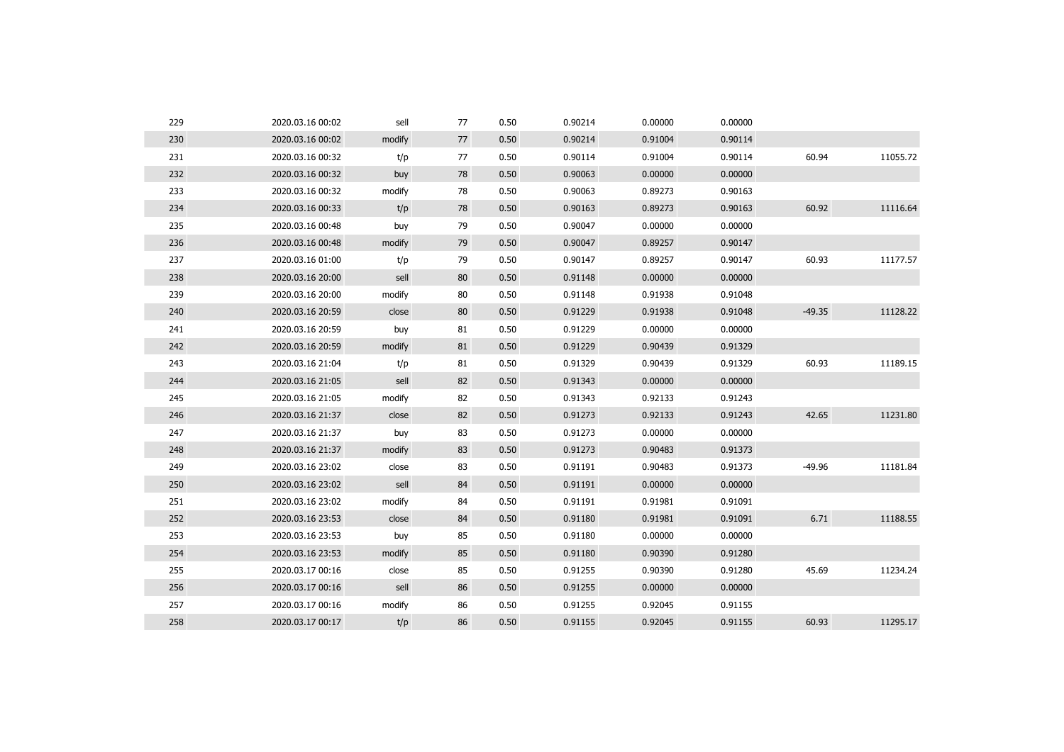| 229 | 2020.03.16 00:02 | sell   | 77 | 0.50 | 0.90214 | 0.00000 | 0.00000 |          |          |
|-----|------------------|--------|----|------|---------|---------|---------|----------|----------|
| 230 | 2020.03.16 00:02 | modify | 77 | 0.50 | 0.90214 | 0.91004 | 0.90114 |          |          |
| 231 | 2020.03.16 00:32 | t/p    | 77 | 0.50 | 0.90114 | 0.91004 | 0.90114 | 60.94    | 11055.72 |
| 232 | 2020.03.16 00:32 | buy    | 78 | 0.50 | 0.90063 | 0.00000 | 0.00000 |          |          |
| 233 | 2020.03.16 00:32 | modify | 78 | 0.50 | 0.90063 | 0.89273 | 0.90163 |          |          |
| 234 | 2020.03.16 00:33 | t/p    | 78 | 0.50 | 0.90163 | 0.89273 | 0.90163 | 60.92    | 11116.64 |
| 235 | 2020.03.16 00:48 | buy    | 79 | 0.50 | 0.90047 | 0.00000 | 0.00000 |          |          |
| 236 | 2020.03.16 00:48 | modify | 79 | 0.50 | 0.90047 | 0.89257 | 0.90147 |          |          |
| 237 | 2020.03.16 01:00 | t/p    | 79 | 0.50 | 0.90147 | 0.89257 | 0.90147 | 60.93    | 11177.57 |
| 238 | 2020.03.16 20:00 | sell   | 80 | 0.50 | 0.91148 | 0.00000 | 0.00000 |          |          |
| 239 | 2020.03.16 20:00 | modify | 80 | 0.50 | 0.91148 | 0.91938 | 0.91048 |          |          |
| 240 | 2020.03.16 20:59 | close  | 80 | 0.50 | 0.91229 | 0.91938 | 0.91048 | $-49.35$ | 11128.22 |
| 241 | 2020.03.16 20:59 | buy    | 81 | 0.50 | 0.91229 | 0.00000 | 0.00000 |          |          |
| 242 | 2020.03.16 20:59 | modify | 81 | 0.50 | 0.91229 | 0.90439 | 0.91329 |          |          |
| 243 | 2020.03.16 21:04 | t/p    | 81 | 0.50 | 0.91329 | 0.90439 | 0.91329 | 60.93    | 11189.15 |
| 244 | 2020.03.16 21:05 | sell   | 82 | 0.50 | 0.91343 | 0.00000 | 0.00000 |          |          |
| 245 | 2020.03.16 21:05 | modify | 82 | 0.50 | 0.91343 | 0.92133 | 0.91243 |          |          |
| 246 | 2020.03.16 21:37 | close  | 82 | 0.50 | 0.91273 | 0.92133 | 0.91243 | 42.65    | 11231.80 |
| 247 | 2020.03.16 21:37 | buy    | 83 | 0.50 | 0.91273 | 0.00000 | 0.00000 |          |          |
| 248 | 2020.03.16 21:37 | modify | 83 | 0.50 | 0.91273 | 0.90483 | 0.91373 |          |          |
| 249 | 2020.03.16 23:02 | close  | 83 | 0.50 | 0.91191 | 0.90483 | 0.91373 | $-49.96$ | 11181.84 |
| 250 | 2020.03.16 23:02 | sell   | 84 | 0.50 | 0.91191 | 0.00000 | 0.00000 |          |          |
| 251 | 2020.03.16 23:02 | modify | 84 | 0.50 | 0.91191 | 0.91981 | 0.91091 |          |          |
| 252 | 2020.03.16 23:53 | close  | 84 | 0.50 | 0.91180 | 0.91981 | 0.91091 | 6.71     | 11188.55 |
| 253 | 2020.03.16 23:53 | buy    | 85 | 0.50 | 0.91180 | 0.00000 | 0.00000 |          |          |
| 254 | 2020.03.16 23:53 | modify | 85 | 0.50 | 0.91180 | 0.90390 | 0.91280 |          |          |
| 255 | 2020.03.17 00:16 | close  | 85 | 0.50 | 0.91255 | 0.90390 | 0.91280 | 45.69    | 11234.24 |
| 256 | 2020.03.17 00:16 | sell   | 86 | 0.50 | 0.91255 | 0.00000 | 0.00000 |          |          |
| 257 | 2020.03.17 00:16 | modify | 86 | 0.50 | 0.91255 | 0.92045 | 0.91155 |          |          |
| 258 | 2020.03.17 00:17 | t/p    | 86 | 0.50 | 0.91155 | 0.92045 | 0.91155 | 60.93    | 11295.17 |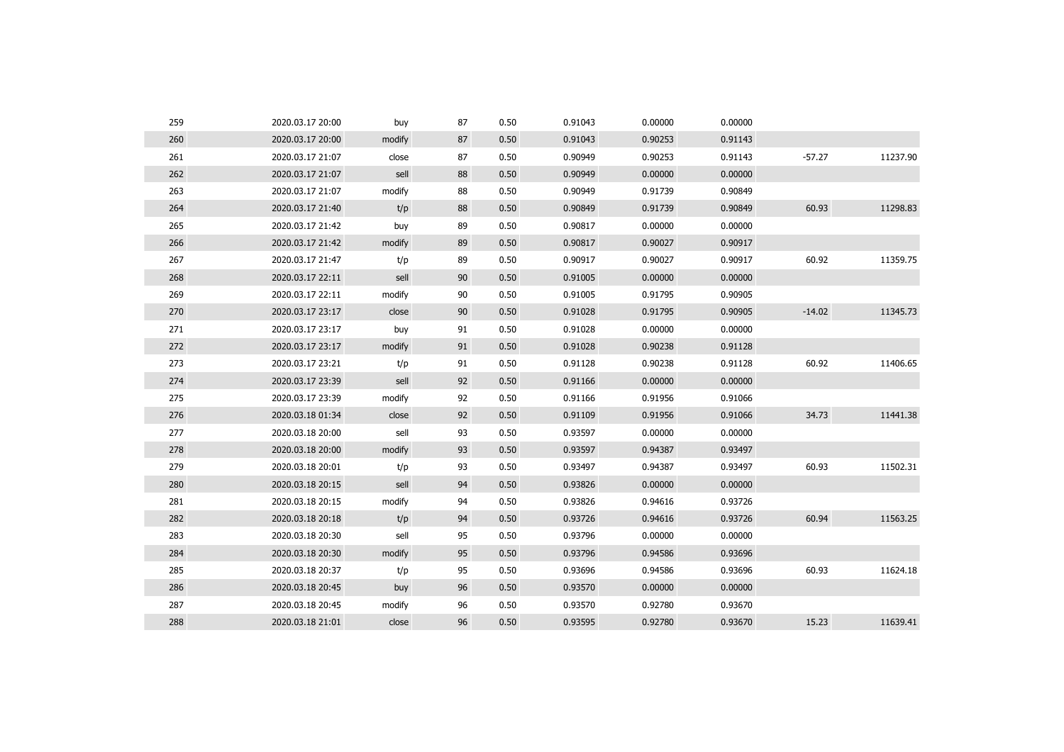| 259 | 2020.03.17 20:00 | buy    | 87 | 0.50 | 0.91043 | 0.00000 | 0.00000 |          |          |
|-----|------------------|--------|----|------|---------|---------|---------|----------|----------|
| 260 | 2020.03.17 20:00 | modify | 87 | 0.50 | 0.91043 | 0.90253 | 0.91143 |          |          |
| 261 | 2020.03.17 21:07 | close  | 87 | 0.50 | 0.90949 | 0.90253 | 0.91143 | $-57.27$ | 11237.90 |
| 262 | 2020.03.17 21:07 | sell   | 88 | 0.50 | 0.90949 | 0.00000 | 0.00000 |          |          |
| 263 | 2020.03.17 21:07 | modify | 88 | 0.50 | 0.90949 | 0.91739 | 0.90849 |          |          |
| 264 | 2020.03.17 21:40 | t/p    | 88 | 0.50 | 0.90849 | 0.91739 | 0.90849 | 60.93    | 11298.83 |
| 265 | 2020.03.17 21:42 | buy    | 89 | 0.50 | 0.90817 | 0.00000 | 0.00000 |          |          |
| 266 | 2020.03.17 21:42 | modify | 89 | 0.50 | 0.90817 | 0.90027 | 0.90917 |          |          |
| 267 | 2020.03.17 21:47 | t/p    | 89 | 0.50 | 0.90917 | 0.90027 | 0.90917 | 60.92    | 11359.75 |
| 268 | 2020.03.17 22:11 | sell   | 90 | 0.50 | 0.91005 | 0.00000 | 0.00000 |          |          |
| 269 | 2020.03.17 22:11 | modify | 90 | 0.50 | 0.91005 | 0.91795 | 0.90905 |          |          |
| 270 | 2020.03.17 23:17 | close  | 90 | 0.50 | 0.91028 | 0.91795 | 0.90905 | $-14.02$ | 11345.73 |
| 271 | 2020.03.17 23:17 | buy    | 91 | 0.50 | 0.91028 | 0.00000 | 0.00000 |          |          |
| 272 | 2020.03.17 23:17 | modify | 91 | 0.50 | 0.91028 | 0.90238 | 0.91128 |          |          |
| 273 | 2020.03.17 23:21 | t/p    | 91 | 0.50 | 0.91128 | 0.90238 | 0.91128 | 60.92    | 11406.65 |
| 274 | 2020.03.17 23:39 | sell   | 92 | 0.50 | 0.91166 | 0.00000 | 0.00000 |          |          |
| 275 | 2020.03.17 23:39 | modify | 92 | 0.50 | 0.91166 | 0.91956 | 0.91066 |          |          |
| 276 | 2020.03.18 01:34 | close  | 92 | 0.50 | 0.91109 | 0.91956 | 0.91066 | 34.73    | 11441.38 |
| 277 | 2020.03.18 20:00 | sell   | 93 | 0.50 | 0.93597 | 0.00000 | 0.00000 |          |          |
| 278 | 2020.03.18 20:00 | modify | 93 | 0.50 | 0.93597 | 0.94387 | 0.93497 |          |          |
| 279 | 2020.03.18 20:01 | t/p    | 93 | 0.50 | 0.93497 | 0.94387 | 0.93497 | 60.93    | 11502.31 |
| 280 | 2020.03.18 20:15 | sell   | 94 | 0.50 | 0.93826 | 0.00000 | 0.00000 |          |          |
| 281 | 2020.03.18 20:15 | modify | 94 | 0.50 | 0.93826 | 0.94616 | 0.93726 |          |          |
| 282 | 2020.03.18 20:18 | t/p    | 94 | 0.50 | 0.93726 | 0.94616 | 0.93726 | 60.94    | 11563.25 |
| 283 | 2020.03.18 20:30 | sell   | 95 | 0.50 | 0.93796 | 0.00000 | 0.00000 |          |          |
| 284 | 2020.03.18 20:30 | modify | 95 | 0.50 | 0.93796 | 0.94586 | 0.93696 |          |          |
| 285 | 2020.03.18 20:37 | t/p    | 95 | 0.50 | 0.93696 | 0.94586 | 0.93696 | 60.93    | 11624.18 |
| 286 | 2020.03.18 20:45 | buy    | 96 | 0.50 | 0.93570 | 0.00000 | 0.00000 |          |          |
| 287 | 2020.03.18 20:45 | modify | 96 | 0.50 | 0.93570 | 0.92780 | 0.93670 |          |          |
| 288 | 2020.03.18 21:01 | close  | 96 | 0.50 | 0.93595 | 0.92780 | 0.93670 | 15.23    | 11639.41 |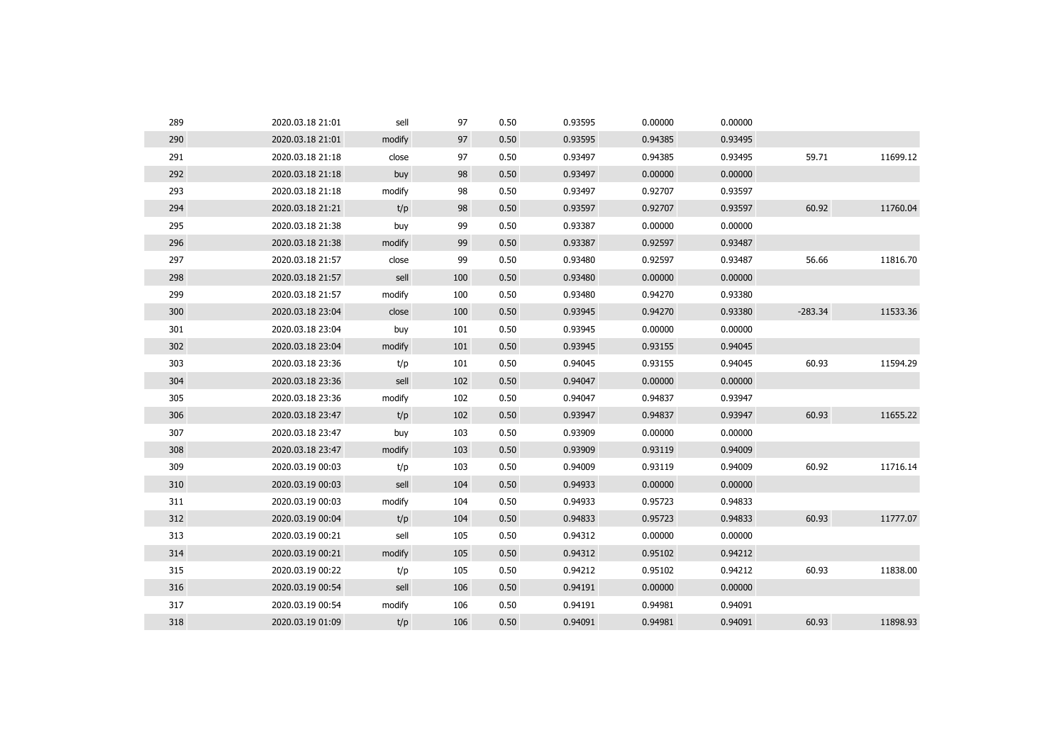| 289 | 2020.03.18 21:01 | sell   | 97  | 0.50 | 0.93595 | 0.00000 | 0.00000 |           |          |
|-----|------------------|--------|-----|------|---------|---------|---------|-----------|----------|
| 290 | 2020.03.18 21:01 | modify | 97  | 0.50 | 0.93595 | 0.94385 | 0.93495 |           |          |
| 291 | 2020.03.18 21:18 | close  | 97  | 0.50 | 0.93497 | 0.94385 | 0.93495 | 59.71     | 11699.12 |
| 292 | 2020.03.18 21:18 | buy    | 98  | 0.50 | 0.93497 | 0.00000 | 0.00000 |           |          |
| 293 | 2020.03.18 21:18 | modify | 98  | 0.50 | 0.93497 | 0.92707 | 0.93597 |           |          |
| 294 | 2020.03.18 21:21 | t/p    | 98  | 0.50 | 0.93597 | 0.92707 | 0.93597 | 60.92     | 11760.04 |
| 295 | 2020.03.18 21:38 | buy    | 99  | 0.50 | 0.93387 | 0.00000 | 0.00000 |           |          |
| 296 | 2020.03.18 21:38 | modify | 99  | 0.50 | 0.93387 | 0.92597 | 0.93487 |           |          |
| 297 | 2020.03.18 21:57 | close  | 99  | 0.50 | 0.93480 | 0.92597 | 0.93487 | 56.66     | 11816.70 |
| 298 | 2020.03.18 21:57 | sell   | 100 | 0.50 | 0.93480 | 0.00000 | 0.00000 |           |          |
| 299 | 2020.03.18 21:57 | modify | 100 | 0.50 | 0.93480 | 0.94270 | 0.93380 |           |          |
| 300 | 2020.03.18 23:04 | close  | 100 | 0.50 | 0.93945 | 0.94270 | 0.93380 | $-283.34$ | 11533.36 |
| 301 | 2020.03.18 23:04 | buy    | 101 | 0.50 | 0.93945 | 0.00000 | 0.00000 |           |          |
| 302 | 2020.03.18 23:04 | modify | 101 | 0.50 | 0.93945 | 0.93155 | 0.94045 |           |          |
| 303 | 2020.03.18 23:36 | t/p    | 101 | 0.50 | 0.94045 | 0.93155 | 0.94045 | 60.93     | 11594.29 |
| 304 | 2020.03.18 23:36 | sell   | 102 | 0.50 | 0.94047 | 0.00000 | 0.00000 |           |          |
| 305 | 2020.03.18 23:36 | modify | 102 | 0.50 | 0.94047 | 0.94837 | 0.93947 |           |          |
| 306 | 2020.03.18 23:47 | t/p    | 102 | 0.50 | 0.93947 | 0.94837 | 0.93947 | 60.93     | 11655.22 |
| 307 | 2020.03.18 23:47 | buy    | 103 | 0.50 | 0.93909 | 0.00000 | 0.00000 |           |          |
| 308 | 2020.03.18 23:47 | modify | 103 | 0.50 | 0.93909 | 0.93119 | 0.94009 |           |          |
| 309 | 2020.03.19 00:03 | t/p    | 103 | 0.50 | 0.94009 | 0.93119 | 0.94009 | 60.92     | 11716.14 |
| 310 | 2020.03.19 00:03 | sell   | 104 | 0.50 | 0.94933 | 0.00000 | 0.00000 |           |          |
| 311 | 2020.03.19 00:03 | modify | 104 | 0.50 | 0.94933 | 0.95723 | 0.94833 |           |          |
| 312 | 2020.03.19 00:04 | t/p    | 104 | 0.50 | 0.94833 | 0.95723 | 0.94833 | 60.93     | 11777.07 |
| 313 | 2020.03.19 00:21 | sell   | 105 | 0.50 | 0.94312 | 0.00000 | 0.00000 |           |          |
| 314 | 2020.03.19 00:21 | modify | 105 | 0.50 | 0.94312 | 0.95102 | 0.94212 |           |          |
| 315 | 2020.03.19 00:22 | t/p    | 105 | 0.50 | 0.94212 | 0.95102 | 0.94212 | 60.93     | 11838.00 |
| 316 | 2020.03.19 00:54 | sell   | 106 | 0.50 | 0.94191 | 0.00000 | 0.00000 |           |          |
| 317 | 2020.03.19 00:54 | modify | 106 | 0.50 | 0.94191 | 0.94981 | 0.94091 |           |          |
| 318 | 2020.03.19 01:09 | t/p    | 106 | 0.50 | 0.94091 | 0.94981 | 0.94091 | 60.93     | 11898.93 |
|     |                  |        |     |      |         |         |         |           |          |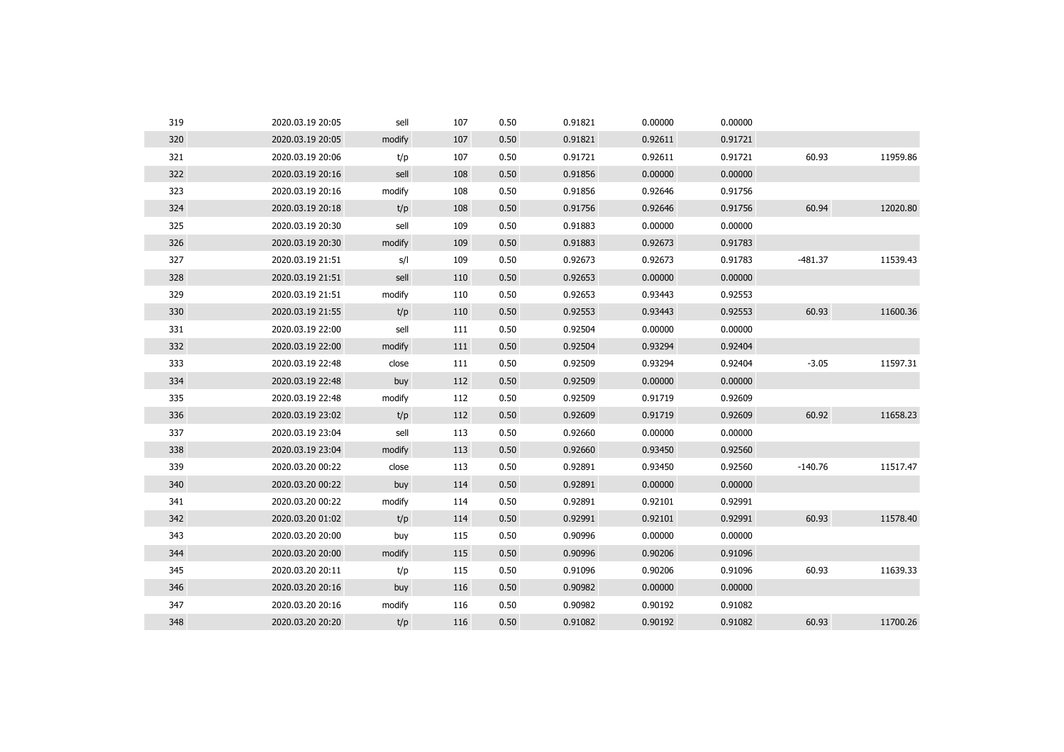| 319 | 2020.03.19 20:05 | sell   | 107 | 0.50 | 0.91821 | 0.00000 | 0.00000 |           |          |
|-----|------------------|--------|-----|------|---------|---------|---------|-----------|----------|
| 320 | 2020.03.19 20:05 | modify | 107 | 0.50 | 0.91821 | 0.92611 | 0.91721 |           |          |
| 321 | 2020.03.19 20:06 | t/p    | 107 | 0.50 | 0.91721 | 0.92611 | 0.91721 | 60.93     | 11959.86 |
| 322 | 2020.03.19 20:16 | sell   | 108 | 0.50 | 0.91856 | 0.00000 | 0.00000 |           |          |
| 323 | 2020.03.19 20:16 | modify | 108 | 0.50 | 0.91856 | 0.92646 | 0.91756 |           |          |
| 324 | 2020.03.19 20:18 | t/p    | 108 | 0.50 | 0.91756 | 0.92646 | 0.91756 | 60.94     | 12020.80 |
| 325 | 2020.03.19 20:30 | sell   | 109 | 0.50 | 0.91883 | 0.00000 | 0.00000 |           |          |
| 326 | 2020.03.19 20:30 | modify | 109 | 0.50 | 0.91883 | 0.92673 | 0.91783 |           |          |
| 327 | 2020.03.19 21:51 | s/l    | 109 | 0.50 | 0.92673 | 0.92673 | 0.91783 | $-481.37$ | 11539.43 |
| 328 | 2020.03.19 21:51 | sell   | 110 | 0.50 | 0.92653 | 0.00000 | 0.00000 |           |          |
| 329 | 2020.03.19 21:51 | modify | 110 | 0.50 | 0.92653 | 0.93443 | 0.92553 |           |          |
| 330 | 2020.03.19 21:55 | t/p    | 110 | 0.50 | 0.92553 | 0.93443 | 0.92553 | 60.93     | 11600.36 |
| 331 | 2020.03.19 22:00 | sell   | 111 | 0.50 | 0.92504 | 0.00000 | 0.00000 |           |          |
| 332 | 2020.03.19 22:00 | modify | 111 | 0.50 | 0.92504 | 0.93294 | 0.92404 |           |          |
| 333 | 2020.03.19 22:48 | close  | 111 | 0.50 | 0.92509 | 0.93294 | 0.92404 | $-3.05$   | 11597.31 |
| 334 | 2020.03.19 22:48 | buy    | 112 | 0.50 | 0.92509 | 0.00000 | 0.00000 |           |          |
| 335 | 2020.03.19 22:48 | modify | 112 | 0.50 | 0.92509 | 0.91719 | 0.92609 |           |          |
| 336 | 2020.03.19 23:02 | t/p    | 112 | 0.50 | 0.92609 | 0.91719 | 0.92609 | 60.92     | 11658.23 |
| 337 | 2020.03.19 23:04 | sell   | 113 | 0.50 | 0.92660 | 0.00000 | 0.00000 |           |          |
| 338 | 2020.03.19 23:04 | modify | 113 | 0.50 | 0.92660 | 0.93450 | 0.92560 |           |          |
| 339 | 2020.03.20 00:22 | close  | 113 | 0.50 | 0.92891 | 0.93450 | 0.92560 | $-140.76$ | 11517.47 |
| 340 | 2020.03.20 00:22 | buy    | 114 | 0.50 | 0.92891 | 0.00000 | 0.00000 |           |          |
| 341 | 2020.03.20 00:22 | modify | 114 | 0.50 | 0.92891 | 0.92101 | 0.92991 |           |          |
| 342 | 2020.03.20 01:02 | t/p    | 114 | 0.50 | 0.92991 | 0.92101 | 0.92991 | 60.93     | 11578.40 |
| 343 | 2020.03.20 20:00 | buy    | 115 | 0.50 | 0.90996 | 0.00000 | 0.00000 |           |          |
| 344 | 2020.03.20 20:00 | modify | 115 | 0.50 | 0.90996 | 0.90206 | 0.91096 |           |          |
| 345 | 2020.03.20 20:11 | t/p    | 115 | 0.50 | 0.91096 | 0.90206 | 0.91096 | 60.93     | 11639.33 |
| 346 | 2020.03.20 20:16 | buy    | 116 | 0.50 | 0.90982 | 0.00000 | 0.00000 |           |          |
| 347 | 2020.03.20 20:16 | modify | 116 | 0.50 | 0.90982 | 0.90192 | 0.91082 |           |          |
| 348 | 2020.03.20 20:20 | t/p    | 116 | 0.50 | 0.91082 | 0.90192 | 0.91082 | 60.93     | 11700.26 |
|     |                  |        |     |      |         |         |         |           |          |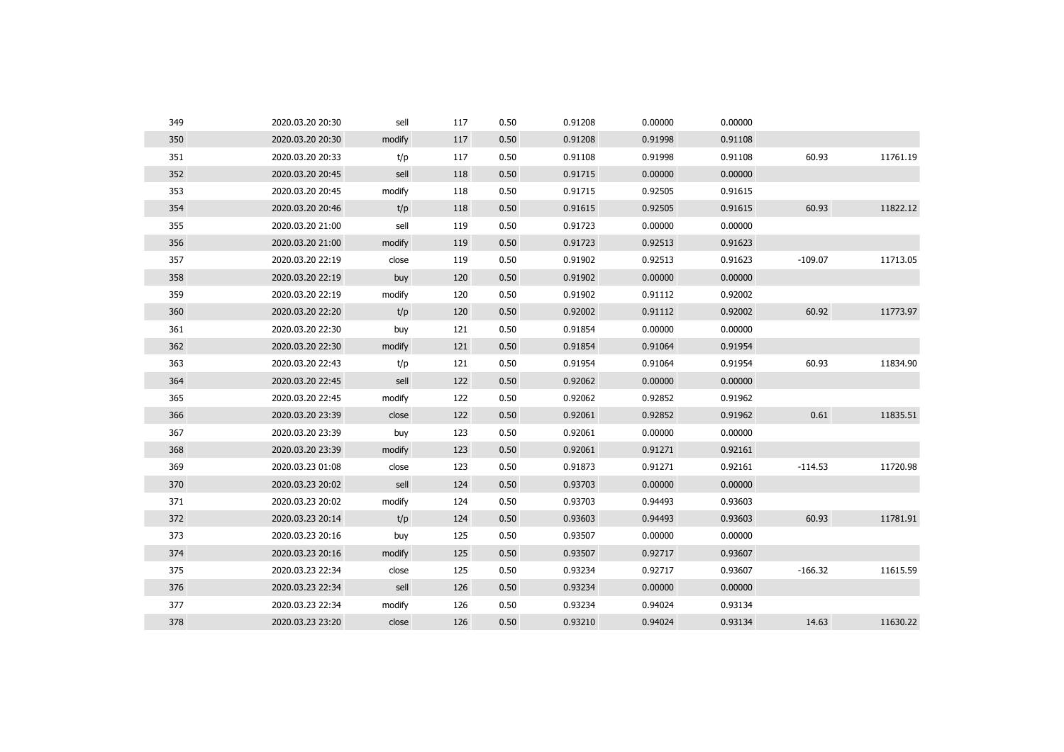| 349 | 2020.03.20 20:30 | sell   | 117 | 0.50 | 0.91208 | 0.00000 | 0.00000 |           |          |
|-----|------------------|--------|-----|------|---------|---------|---------|-----------|----------|
| 350 | 2020.03.20 20:30 | modify | 117 | 0.50 | 0.91208 | 0.91998 | 0.91108 |           |          |
| 351 | 2020.03.20 20:33 | t/p    | 117 | 0.50 | 0.91108 | 0.91998 | 0.91108 | 60.93     | 11761.19 |
| 352 | 2020.03.20 20:45 | sell   | 118 | 0.50 | 0.91715 | 0.00000 | 0.00000 |           |          |
| 353 | 2020.03.20 20:45 | modify | 118 | 0.50 | 0.91715 | 0.92505 | 0.91615 |           |          |
| 354 | 2020.03.20 20:46 | t/p    | 118 | 0.50 | 0.91615 | 0.92505 | 0.91615 | 60.93     | 11822.12 |
| 355 | 2020.03.20 21:00 | sell   | 119 | 0.50 | 0.91723 | 0.00000 | 0.00000 |           |          |
| 356 | 2020.03.20 21:00 | modify | 119 | 0.50 | 0.91723 | 0.92513 | 0.91623 |           |          |
| 357 | 2020.03.20 22:19 | close  | 119 | 0.50 | 0.91902 | 0.92513 | 0.91623 | $-109.07$ | 11713.05 |
| 358 | 2020.03.20 22:19 | buy    | 120 | 0.50 | 0.91902 | 0.00000 | 0.00000 |           |          |
| 359 | 2020.03.20 22:19 | modify | 120 | 0.50 | 0.91902 | 0.91112 | 0.92002 |           |          |
| 360 | 2020.03.20 22:20 | t/p    | 120 | 0.50 | 0.92002 | 0.91112 | 0.92002 | 60.92     | 11773.97 |
| 361 | 2020.03.20 22:30 | buy    | 121 | 0.50 | 0.91854 | 0.00000 | 0.00000 |           |          |
| 362 | 2020.03.20 22:30 | modify | 121 | 0.50 | 0.91854 | 0.91064 | 0.91954 |           |          |
| 363 | 2020.03.20 22:43 | t/p    | 121 | 0.50 | 0.91954 | 0.91064 | 0.91954 | 60.93     | 11834.90 |
| 364 | 2020.03.20 22:45 | sell   | 122 | 0.50 | 0.92062 | 0.00000 | 0.00000 |           |          |
| 365 | 2020.03.20 22:45 | modify | 122 | 0.50 | 0.92062 | 0.92852 | 0.91962 |           |          |
| 366 | 2020.03.20 23:39 | close  | 122 | 0.50 | 0.92061 | 0.92852 | 0.91962 | 0.61      | 11835.51 |
| 367 | 2020.03.20 23:39 | buy    | 123 | 0.50 | 0.92061 | 0.00000 | 0.00000 |           |          |
| 368 | 2020.03.20 23:39 | modify | 123 | 0.50 | 0.92061 | 0.91271 | 0.92161 |           |          |
| 369 | 2020.03.23 01:08 | close  | 123 | 0.50 | 0.91873 | 0.91271 | 0.92161 | $-114.53$ | 11720.98 |
| 370 | 2020.03.23 20:02 | sell   | 124 | 0.50 | 0.93703 | 0.00000 | 0.00000 |           |          |
| 371 | 2020.03.23 20:02 | modify | 124 | 0.50 | 0.93703 | 0.94493 | 0.93603 |           |          |
| 372 | 2020.03.23 20:14 | t/p    | 124 | 0.50 | 0.93603 | 0.94493 | 0.93603 | 60.93     | 11781.91 |
| 373 | 2020.03.23 20:16 | buy    | 125 | 0.50 | 0.93507 | 0.00000 | 0.00000 |           |          |
| 374 | 2020.03.23 20:16 | modify | 125 | 0.50 | 0.93507 | 0.92717 | 0.93607 |           |          |
| 375 | 2020.03.23 22:34 | close  | 125 | 0.50 | 0.93234 | 0.92717 | 0.93607 | $-166.32$ | 11615.59 |
| 376 | 2020.03.23 22:34 | sell   | 126 | 0.50 | 0.93234 | 0.00000 | 0.00000 |           |          |
| 377 | 2020.03.23 22:34 | modify | 126 | 0.50 | 0.93234 | 0.94024 | 0.93134 |           |          |
| 378 | 2020.03.23 23:20 | close  | 126 | 0.50 | 0.93210 | 0.94024 | 0.93134 | 14.63     | 11630.22 |
|     |                  |        |     |      |         |         |         |           |          |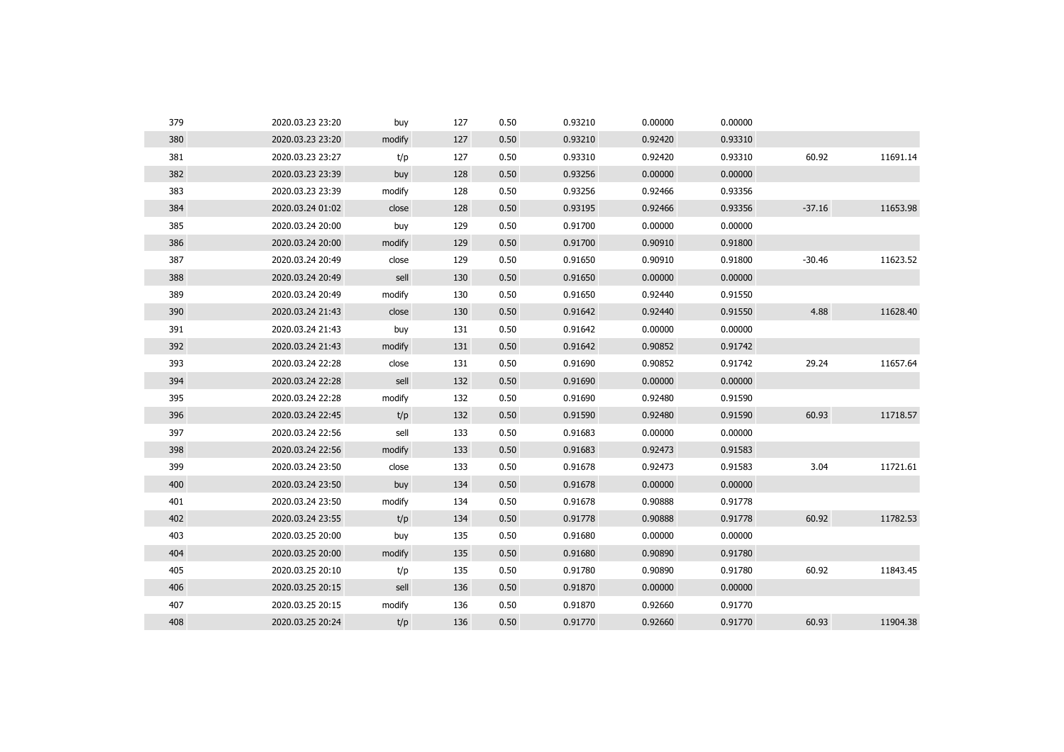| 379 | 2020.03.23 23:20 | buy    | 127 | 0.50 | 0.93210 | 0.00000 | 0.00000 |          |          |
|-----|------------------|--------|-----|------|---------|---------|---------|----------|----------|
| 380 | 2020.03.23 23:20 | modify | 127 | 0.50 | 0.93210 | 0.92420 | 0.93310 |          |          |
| 381 | 2020.03.23 23:27 | t/p    | 127 | 0.50 | 0.93310 | 0.92420 | 0.93310 | 60.92    | 11691.14 |
| 382 | 2020.03.23 23:39 | buy    | 128 | 0.50 | 0.93256 | 0.00000 | 0.00000 |          |          |
| 383 | 2020.03.23 23:39 | modify | 128 | 0.50 | 0.93256 | 0.92466 | 0.93356 |          |          |
| 384 | 2020.03.24 01:02 | close  | 128 | 0.50 | 0.93195 | 0.92466 | 0.93356 | $-37.16$ | 11653.98 |
| 385 | 2020.03.24 20:00 | buy    | 129 | 0.50 | 0.91700 | 0.00000 | 0.00000 |          |          |
| 386 | 2020.03.24 20:00 | modify | 129 | 0.50 | 0.91700 | 0.90910 | 0.91800 |          |          |
| 387 | 2020.03.24 20:49 | close  | 129 | 0.50 | 0.91650 | 0.90910 | 0.91800 | $-30.46$ | 11623.52 |
| 388 | 2020.03.24 20:49 | sell   | 130 | 0.50 | 0.91650 | 0.00000 | 0.00000 |          |          |
| 389 | 2020.03.24 20:49 | modify | 130 | 0.50 | 0.91650 | 0.92440 | 0.91550 |          |          |
| 390 | 2020.03.24 21:43 | close  | 130 | 0.50 | 0.91642 | 0.92440 | 0.91550 | 4.88     | 11628.40 |
| 391 | 2020.03.24 21:43 | buy    | 131 | 0.50 | 0.91642 | 0.00000 | 0.00000 |          |          |
| 392 | 2020.03.24 21:43 | modify | 131 | 0.50 | 0.91642 | 0.90852 | 0.91742 |          |          |
| 393 | 2020.03.24 22:28 | close  | 131 | 0.50 | 0.91690 | 0.90852 | 0.91742 | 29.24    | 11657.64 |
| 394 | 2020.03.24 22:28 | sell   | 132 | 0.50 | 0.91690 | 0.00000 | 0.00000 |          |          |
| 395 | 2020.03.24 22:28 | modify | 132 | 0.50 | 0.91690 | 0.92480 | 0.91590 |          |          |
| 396 | 2020.03.24 22:45 | t/p    | 132 | 0.50 | 0.91590 | 0.92480 | 0.91590 | 60.93    | 11718.57 |
| 397 | 2020.03.24 22:56 | sell   | 133 | 0.50 | 0.91683 | 0.00000 | 0.00000 |          |          |
| 398 | 2020.03.24 22:56 | modify | 133 | 0.50 | 0.91683 | 0.92473 | 0.91583 |          |          |
| 399 | 2020.03.24 23:50 | close  | 133 | 0.50 | 0.91678 | 0.92473 | 0.91583 | 3.04     | 11721.61 |
| 400 | 2020.03.24 23:50 | buy    | 134 | 0.50 | 0.91678 | 0.00000 | 0.00000 |          |          |
| 401 | 2020.03.24 23:50 | modify | 134 | 0.50 | 0.91678 | 0.90888 | 0.91778 |          |          |
| 402 | 2020.03.24 23:55 | t/p    | 134 | 0.50 | 0.91778 | 0.90888 | 0.91778 | 60.92    | 11782.53 |
| 403 | 2020.03.25 20:00 | buy    | 135 | 0.50 | 0.91680 | 0.00000 | 0.00000 |          |          |
| 404 | 2020.03.25 20:00 | modify | 135 | 0.50 | 0.91680 | 0.90890 | 0.91780 |          |          |
| 405 | 2020.03.25 20:10 | t/p    | 135 | 0.50 | 0.91780 | 0.90890 | 0.91780 | 60.92    | 11843.45 |
| 406 | 2020.03.25 20:15 | sell   | 136 | 0.50 | 0.91870 | 0.00000 | 0.00000 |          |          |
| 407 | 2020.03.25 20:15 | modify | 136 | 0.50 | 0.91870 | 0.92660 | 0.91770 |          |          |
| 408 | 2020.03.25 20:24 | t/p    | 136 | 0.50 | 0.91770 | 0.92660 | 0.91770 | 60.93    | 11904.38 |
|     |                  |        |     |      |         |         |         |          |          |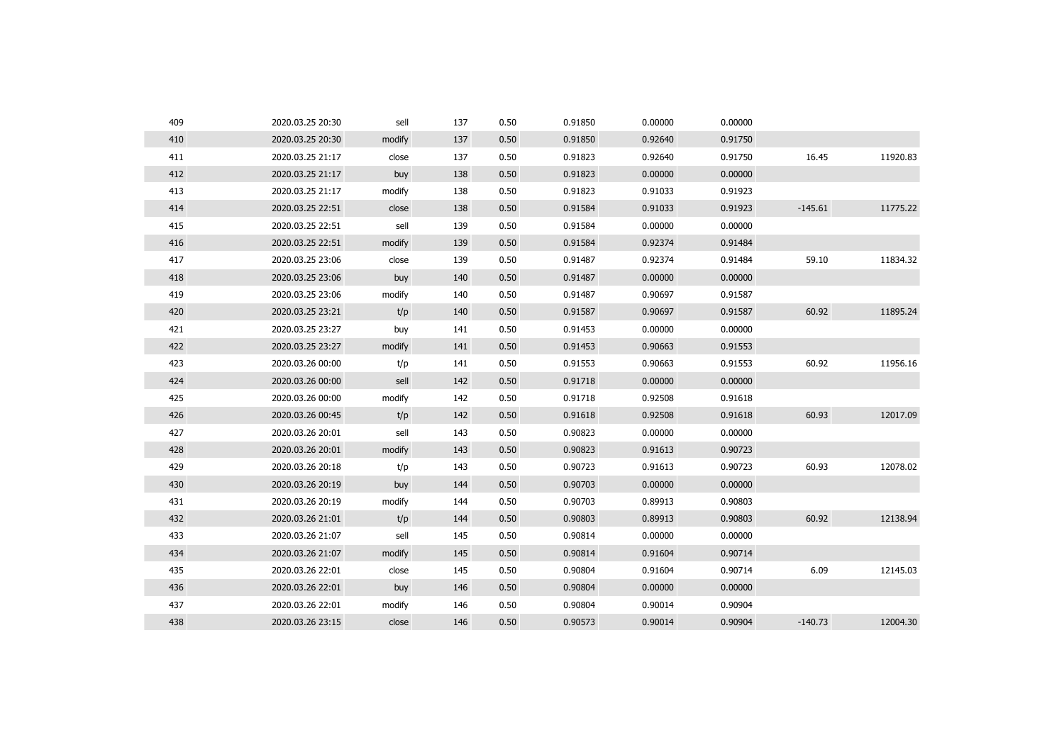| 409 | 2020.03.25 20:30 | sell   | 137 | 0.50 | 0.91850 | 0.00000 | 0.00000 |           |          |
|-----|------------------|--------|-----|------|---------|---------|---------|-----------|----------|
| 410 | 2020.03.25 20:30 | modify | 137 | 0.50 | 0.91850 | 0.92640 | 0.91750 |           |          |
| 411 | 2020.03.25 21:17 | close  | 137 | 0.50 | 0.91823 | 0.92640 | 0.91750 | 16.45     | 11920.83 |
| 412 | 2020.03.25 21:17 | buy    | 138 | 0.50 | 0.91823 | 0.00000 | 0.00000 |           |          |
| 413 | 2020.03.25 21:17 | modify | 138 | 0.50 | 0.91823 | 0.91033 | 0.91923 |           |          |
| 414 | 2020.03.25 22:51 | close  | 138 | 0.50 | 0.91584 | 0.91033 | 0.91923 | $-145.61$ | 11775.22 |
| 415 | 2020.03.25 22:51 | sell   | 139 | 0.50 | 0.91584 | 0.00000 | 0.00000 |           |          |
| 416 | 2020.03.25 22:51 | modify | 139 | 0.50 | 0.91584 | 0.92374 | 0.91484 |           |          |
| 417 | 2020.03.25 23:06 | close  | 139 | 0.50 | 0.91487 | 0.92374 | 0.91484 | 59.10     | 11834.32 |
| 418 | 2020.03.25 23:06 | buy    | 140 | 0.50 | 0.91487 | 0.00000 | 0.00000 |           |          |
| 419 | 2020.03.25 23:06 | modify | 140 | 0.50 | 0.91487 | 0.90697 | 0.91587 |           |          |
| 420 | 2020.03.25 23:21 | t/p    | 140 | 0.50 | 0.91587 | 0.90697 | 0.91587 | 60.92     | 11895.24 |
| 421 | 2020.03.25 23:27 | buy    | 141 | 0.50 | 0.91453 | 0.00000 | 0.00000 |           |          |
| 422 | 2020.03.25 23:27 | modify | 141 | 0.50 | 0.91453 | 0.90663 | 0.91553 |           |          |
| 423 | 2020.03.26 00:00 | t/p    | 141 | 0.50 | 0.91553 | 0.90663 | 0.91553 | 60.92     | 11956.16 |
| 424 | 2020.03.26 00:00 | sell   | 142 | 0.50 | 0.91718 | 0.00000 | 0.00000 |           |          |
| 425 | 2020.03.26 00:00 | modify | 142 | 0.50 | 0.91718 | 0.92508 | 0.91618 |           |          |
| 426 | 2020.03.26 00:45 | t/p    | 142 | 0.50 | 0.91618 | 0.92508 | 0.91618 | 60.93     | 12017.09 |
| 427 | 2020.03.26 20:01 | sell   | 143 | 0.50 | 0.90823 | 0.00000 | 0.00000 |           |          |
| 428 | 2020.03.26 20:01 | modify | 143 | 0.50 | 0.90823 | 0.91613 | 0.90723 |           |          |
| 429 | 2020.03.26 20:18 | t/p    | 143 | 0.50 | 0.90723 | 0.91613 | 0.90723 | 60.93     | 12078.02 |
| 430 | 2020.03.26 20:19 | buy    | 144 | 0.50 | 0.90703 | 0.00000 | 0.00000 |           |          |
| 431 | 2020.03.26 20:19 | modify | 144 | 0.50 | 0.90703 | 0.89913 | 0.90803 |           |          |
| 432 | 2020.03.26 21:01 | t/p    | 144 | 0.50 | 0.90803 | 0.89913 | 0.90803 | 60.92     | 12138.94 |
| 433 | 2020.03.26 21:07 | sell   | 145 | 0.50 | 0.90814 | 0.00000 | 0.00000 |           |          |
| 434 | 2020.03.26 21:07 | modify | 145 | 0.50 | 0.90814 | 0.91604 | 0.90714 |           |          |
| 435 | 2020.03.26 22:01 | close  | 145 | 0.50 | 0.90804 | 0.91604 | 0.90714 | 6.09      | 12145.03 |
| 436 | 2020.03.26 22:01 | buy    | 146 | 0.50 | 0.90804 | 0.00000 | 0.00000 |           |          |
| 437 | 2020.03.26 22:01 | modify | 146 | 0.50 | 0.90804 | 0.90014 | 0.90904 |           |          |
| 438 | 2020.03.26 23:15 | close  | 146 | 0.50 | 0.90573 | 0.90014 | 0.90904 | $-140.73$ | 12004.30 |
|     |                  |        |     |      |         |         |         |           |          |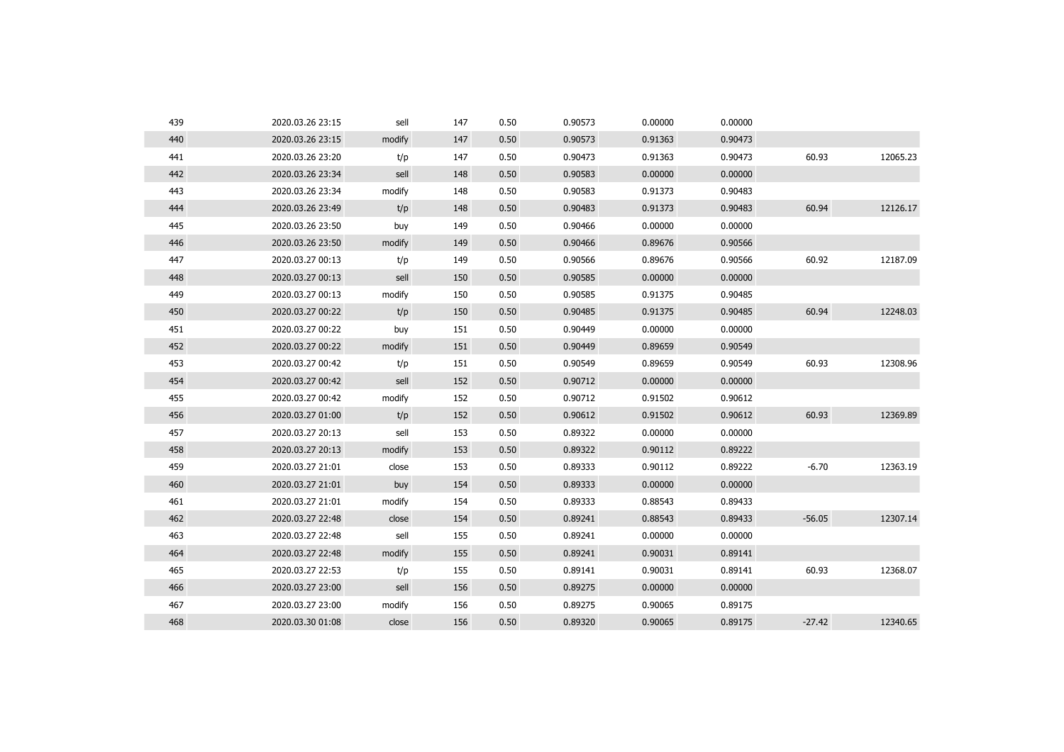| 439 | 2020.03.26 23:15 | sell   | 147 | 0.50 | 0.90573 | 0.00000 | 0.00000 |          |          |
|-----|------------------|--------|-----|------|---------|---------|---------|----------|----------|
| 440 | 2020.03.26 23:15 | modify | 147 | 0.50 | 0.90573 | 0.91363 | 0.90473 |          |          |
| 441 | 2020.03.26 23:20 | t/p    | 147 | 0.50 | 0.90473 | 0.91363 | 0.90473 | 60.93    | 12065.23 |
| 442 | 2020.03.26 23:34 | sell   | 148 | 0.50 | 0.90583 | 0.00000 | 0.00000 |          |          |
| 443 | 2020.03.26 23:34 | modify | 148 | 0.50 | 0.90583 | 0.91373 | 0.90483 |          |          |
| 444 | 2020.03.26 23:49 | t/p    | 148 | 0.50 | 0.90483 | 0.91373 | 0.90483 | 60.94    | 12126.17 |
| 445 | 2020.03.26 23:50 | buy    | 149 | 0.50 | 0.90466 | 0.00000 | 0.00000 |          |          |
| 446 | 2020.03.26 23:50 | modify | 149 | 0.50 | 0.90466 | 0.89676 | 0.90566 |          |          |
| 447 | 2020.03.27 00:13 | t/p    | 149 | 0.50 | 0.90566 | 0.89676 | 0.90566 | 60.92    | 12187.09 |
| 448 | 2020.03.27 00:13 | sell   | 150 | 0.50 | 0.90585 | 0.00000 | 0.00000 |          |          |
| 449 | 2020.03.27 00:13 | modify | 150 | 0.50 | 0.90585 | 0.91375 | 0.90485 |          |          |
| 450 | 2020.03.27 00:22 | t/p    | 150 | 0.50 | 0.90485 | 0.91375 | 0.90485 | 60.94    | 12248.03 |
| 451 | 2020.03.27 00:22 | buy    | 151 | 0.50 | 0.90449 | 0.00000 | 0.00000 |          |          |
| 452 | 2020.03.27 00:22 | modify | 151 | 0.50 | 0.90449 | 0.89659 | 0.90549 |          |          |
| 453 | 2020.03.27 00:42 | t/p    | 151 | 0.50 | 0.90549 | 0.89659 | 0.90549 | 60.93    | 12308.96 |
| 454 | 2020.03.27 00:42 | sell   | 152 | 0.50 | 0.90712 | 0.00000 | 0.00000 |          |          |
| 455 | 2020.03.27 00:42 | modify | 152 | 0.50 | 0.90712 | 0.91502 | 0.90612 |          |          |
| 456 | 2020.03.27 01:00 | t/p    | 152 | 0.50 | 0.90612 | 0.91502 | 0.90612 | 60.93    | 12369.89 |
| 457 | 2020.03.27 20:13 | sell   | 153 | 0.50 | 0.89322 | 0.00000 | 0.00000 |          |          |
| 458 | 2020.03.27 20:13 | modify | 153 | 0.50 | 0.89322 | 0.90112 | 0.89222 |          |          |
| 459 | 2020.03.27 21:01 | close  | 153 | 0.50 | 0.89333 | 0.90112 | 0.89222 | $-6.70$  | 12363.19 |
| 460 | 2020.03.27 21:01 | buy    | 154 | 0.50 | 0.89333 | 0.00000 | 0.00000 |          |          |
| 461 | 2020.03.27 21:01 | modify | 154 | 0.50 | 0.89333 | 0.88543 | 0.89433 |          |          |
| 462 | 2020.03.27 22:48 | close  | 154 | 0.50 | 0.89241 | 0.88543 | 0.89433 | $-56.05$ | 12307.14 |
| 463 | 2020.03.27 22:48 | sell   | 155 | 0.50 | 0.89241 | 0.00000 | 0.00000 |          |          |
| 464 | 2020.03.27 22:48 | modify | 155 | 0.50 | 0.89241 | 0.90031 | 0.89141 |          |          |
| 465 | 2020.03.27 22:53 | t/p    | 155 | 0.50 | 0.89141 | 0.90031 | 0.89141 | 60.93    | 12368.07 |
| 466 | 2020.03.27 23:00 | sell   | 156 | 0.50 | 0.89275 | 0.00000 | 0.00000 |          |          |
| 467 | 2020.03.27 23:00 | modify | 156 | 0.50 | 0.89275 | 0.90065 | 0.89175 |          |          |
| 468 | 2020.03.30 01:08 | close  | 156 | 0.50 | 0.89320 | 0.90065 | 0.89175 | $-27.42$ | 12340.65 |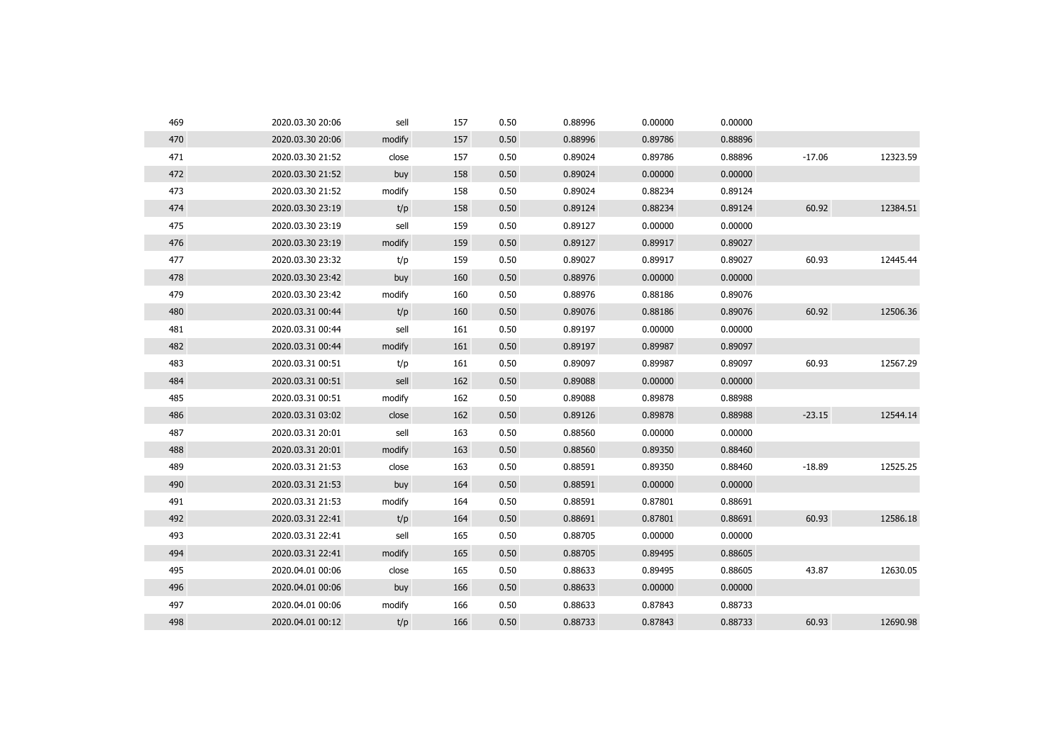| 469 | 2020.03.30 20:06 | sell   | 157 | 0.50 | 0.88996 | 0.00000 | 0.00000 |          |          |
|-----|------------------|--------|-----|------|---------|---------|---------|----------|----------|
| 470 | 2020.03.30 20:06 | modify | 157 | 0.50 | 0.88996 | 0.89786 | 0.88896 |          |          |
| 471 | 2020.03.30 21:52 | close  | 157 | 0.50 | 0.89024 | 0.89786 | 0.88896 | $-17.06$ | 12323.59 |
| 472 | 2020.03.30 21:52 | buy    | 158 | 0.50 | 0.89024 | 0.00000 | 0.00000 |          |          |
| 473 | 2020.03.30 21:52 | modify | 158 | 0.50 | 0.89024 | 0.88234 | 0.89124 |          |          |
| 474 | 2020.03.30 23:19 | t/p    | 158 | 0.50 | 0.89124 | 0.88234 | 0.89124 | 60.92    | 12384.51 |
| 475 | 2020.03.30 23:19 | sell   | 159 | 0.50 | 0.89127 | 0.00000 | 0.00000 |          |          |
| 476 | 2020.03.30 23:19 | modify | 159 | 0.50 | 0.89127 | 0.89917 | 0.89027 |          |          |
| 477 | 2020.03.30 23:32 | t/p    | 159 | 0.50 | 0.89027 | 0.89917 | 0.89027 | 60.93    | 12445.44 |
| 478 | 2020.03.30 23:42 | buy    | 160 | 0.50 | 0.88976 | 0.00000 | 0.00000 |          |          |
| 479 | 2020.03.30 23:42 | modify | 160 | 0.50 | 0.88976 | 0.88186 | 0.89076 |          |          |
| 480 | 2020.03.31 00:44 | t/p    | 160 | 0.50 | 0.89076 | 0.88186 | 0.89076 | 60.92    | 12506.36 |
| 481 | 2020.03.31 00:44 | sell   | 161 | 0.50 | 0.89197 | 0.00000 | 0.00000 |          |          |
| 482 | 2020.03.31 00:44 | modify | 161 | 0.50 | 0.89197 | 0.89987 | 0.89097 |          |          |
| 483 | 2020.03.31 00:51 | t/p    | 161 | 0.50 | 0.89097 | 0.89987 | 0.89097 | 60.93    | 12567.29 |
| 484 | 2020.03.31 00:51 | sell   | 162 | 0.50 | 0.89088 | 0.00000 | 0.00000 |          |          |
| 485 | 2020.03.31 00:51 | modify | 162 | 0.50 | 0.89088 | 0.89878 | 0.88988 |          |          |
| 486 | 2020.03.31 03:02 | close  | 162 | 0.50 | 0.89126 | 0.89878 | 0.88988 | $-23.15$ | 12544.14 |
| 487 | 2020.03.31 20:01 | sell   | 163 | 0.50 | 0.88560 | 0.00000 | 0.00000 |          |          |
| 488 | 2020.03.31 20:01 | modify | 163 | 0.50 | 0.88560 | 0.89350 | 0.88460 |          |          |
| 489 | 2020.03.31 21:53 | close  | 163 | 0.50 | 0.88591 | 0.89350 | 0.88460 | $-18.89$ | 12525.25 |
| 490 | 2020.03.31 21:53 | buy    | 164 | 0.50 | 0.88591 | 0.00000 | 0.00000 |          |          |
| 491 | 2020.03.31 21:53 | modify | 164 | 0.50 | 0.88591 | 0.87801 | 0.88691 |          |          |
| 492 | 2020.03.31 22:41 | t/p    | 164 | 0.50 | 0.88691 | 0.87801 | 0.88691 | 60.93    | 12586.18 |
| 493 | 2020.03.31 22:41 | sell   | 165 | 0.50 | 0.88705 | 0.00000 | 0.00000 |          |          |
| 494 | 2020.03.31 22:41 | modify | 165 | 0.50 | 0.88705 | 0.89495 | 0.88605 |          |          |
| 495 | 2020.04.01 00:06 | close  | 165 | 0.50 | 0.88633 | 0.89495 | 0.88605 | 43.87    | 12630.05 |
| 496 | 2020.04.01 00:06 | buy    | 166 | 0.50 | 0.88633 | 0.00000 | 0.00000 |          |          |
| 497 | 2020.04.01 00:06 | modify | 166 | 0.50 | 0.88633 | 0.87843 | 0.88733 |          |          |
| 498 | 2020.04.01 00:12 | t/p    | 166 | 0.50 | 0.88733 | 0.87843 | 0.88733 | 60.93    | 12690.98 |
|     |                  |        |     |      |         |         |         |          |          |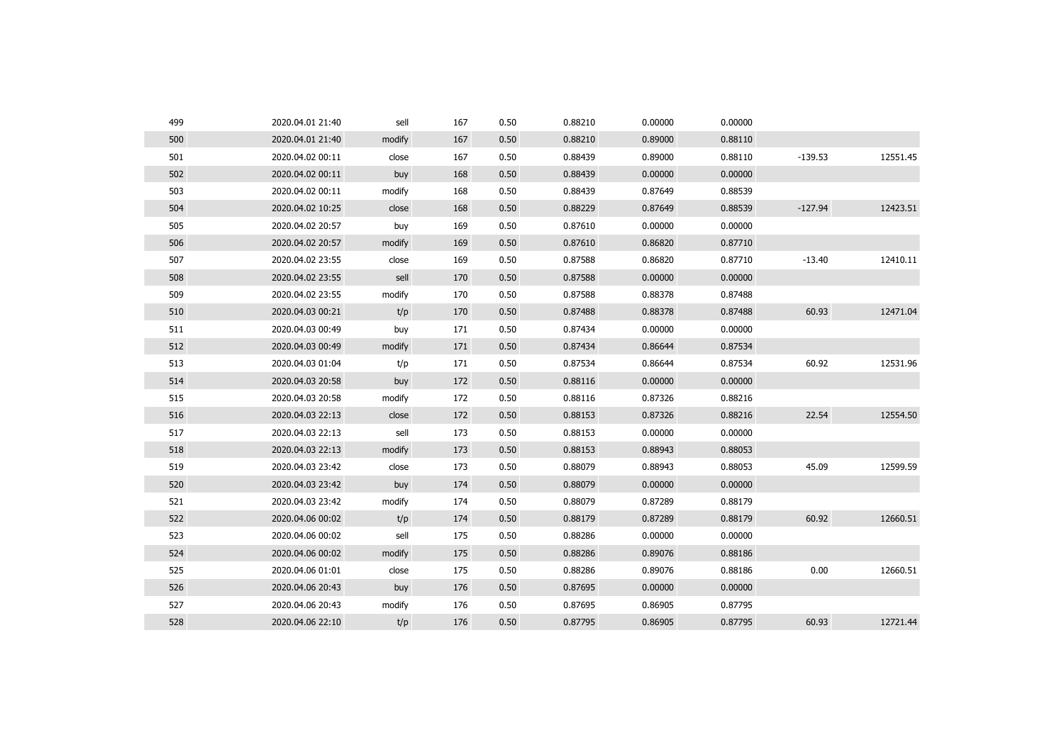| 499 | 2020.04.01 21:40 | sell   | 167 | 0.50 | 0.88210 | 0.00000 | 0.00000 |           |          |
|-----|------------------|--------|-----|------|---------|---------|---------|-----------|----------|
| 500 | 2020.04.01 21:40 | modify | 167 | 0.50 | 0.88210 | 0.89000 | 0.88110 |           |          |
| 501 | 2020.04.02 00:11 | close  | 167 | 0.50 | 0.88439 | 0.89000 | 0.88110 | $-139.53$ | 12551.45 |
| 502 | 2020.04.02 00:11 | buy    | 168 | 0.50 | 0.88439 | 0.00000 | 0.00000 |           |          |
| 503 | 2020.04.02 00:11 | modify | 168 | 0.50 | 0.88439 | 0.87649 | 0.88539 |           |          |
| 504 | 2020.04.02 10:25 | close  | 168 | 0.50 | 0.88229 | 0.87649 | 0.88539 | $-127.94$ | 12423.51 |
| 505 | 2020.04.02 20:57 | buy    | 169 | 0.50 | 0.87610 | 0.00000 | 0.00000 |           |          |
| 506 | 2020.04.02 20:57 | modify | 169 | 0.50 | 0.87610 | 0.86820 | 0.87710 |           |          |
| 507 | 2020.04.02 23:55 | close  | 169 | 0.50 | 0.87588 | 0.86820 | 0.87710 | $-13.40$  | 12410.11 |
| 508 | 2020.04.02 23:55 | sell   | 170 | 0.50 | 0.87588 | 0.00000 | 0.00000 |           |          |
| 509 | 2020.04.02 23:55 | modify | 170 | 0.50 | 0.87588 | 0.88378 | 0.87488 |           |          |
| 510 | 2020.04.03 00:21 | t/p    | 170 | 0.50 | 0.87488 | 0.88378 | 0.87488 | 60.93     | 12471.04 |
| 511 | 2020.04.03 00:49 | buy    | 171 | 0.50 | 0.87434 | 0.00000 | 0.00000 |           |          |
| 512 | 2020.04.03 00:49 | modify | 171 | 0.50 | 0.87434 | 0.86644 | 0.87534 |           |          |
| 513 | 2020.04.03 01:04 | t/p    | 171 | 0.50 | 0.87534 | 0.86644 | 0.87534 | 60.92     | 12531.96 |
| 514 | 2020.04.03 20:58 | buy    | 172 | 0.50 | 0.88116 | 0.00000 | 0.00000 |           |          |
| 515 | 2020.04.03 20:58 | modify | 172 | 0.50 | 0.88116 | 0.87326 | 0.88216 |           |          |
| 516 | 2020.04.03 22:13 | close  | 172 | 0.50 | 0.88153 | 0.87326 | 0.88216 | 22.54     | 12554.50 |
| 517 | 2020.04.03 22:13 | sell   | 173 | 0.50 | 0.88153 | 0.00000 | 0.00000 |           |          |
| 518 | 2020.04.03 22:13 | modify | 173 | 0.50 | 0.88153 | 0.88943 | 0.88053 |           |          |
| 519 | 2020.04.03 23:42 | close  | 173 | 0.50 | 0.88079 | 0.88943 | 0.88053 | 45.09     | 12599.59 |
| 520 | 2020.04.03 23:42 | buy    | 174 | 0.50 | 0.88079 | 0.00000 | 0.00000 |           |          |
| 521 | 2020.04.03 23:42 | modify | 174 | 0.50 | 0.88079 | 0.87289 | 0.88179 |           |          |
| 522 | 2020.04.06 00:02 | t/p    | 174 | 0.50 | 0.88179 | 0.87289 | 0.88179 | 60.92     | 12660.51 |
| 523 | 2020.04.06 00:02 | sell   | 175 | 0.50 | 0.88286 | 0.00000 | 0.00000 |           |          |
| 524 | 2020.04.06 00:02 | modify | 175 | 0.50 | 0.88286 | 0.89076 | 0.88186 |           |          |
| 525 | 2020.04.06 01:01 | close  | 175 | 0.50 | 0.88286 | 0.89076 | 0.88186 | 0.00      | 12660.51 |
| 526 | 2020.04.06 20:43 | buy    | 176 | 0.50 | 0.87695 | 0.00000 | 0.00000 |           |          |
| 527 | 2020.04.06 20:43 | modify | 176 | 0.50 | 0.87695 | 0.86905 | 0.87795 |           |          |
| 528 | 2020.04.06 22:10 | t/p    | 176 | 0.50 | 0.87795 | 0.86905 | 0.87795 | 60.93     | 12721.44 |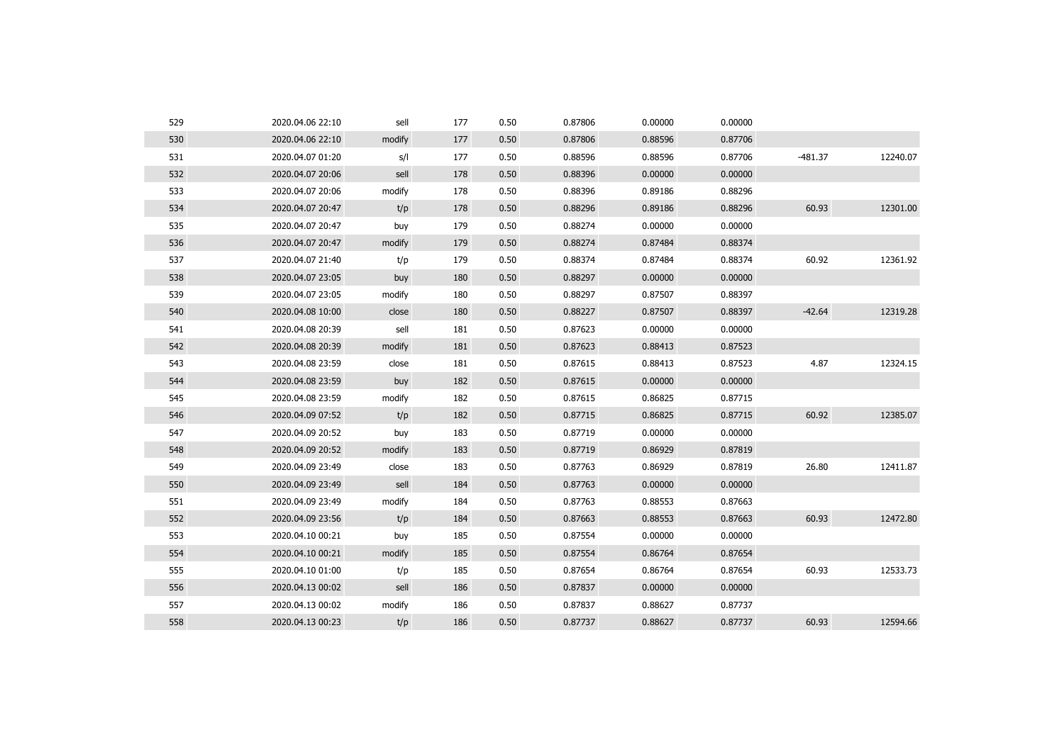| 529 | 2020.04.06 22:10 | sell   | 177 | 0.50 | 0.87806 | 0.00000 | 0.00000 |           |          |
|-----|------------------|--------|-----|------|---------|---------|---------|-----------|----------|
| 530 | 2020.04.06 22:10 | modify | 177 | 0.50 | 0.87806 | 0.88596 | 0.87706 |           |          |
| 531 | 2020.04.07 01:20 | s/l    | 177 | 0.50 | 0.88596 | 0.88596 | 0.87706 | $-481.37$ | 12240.07 |
| 532 | 2020.04.07 20:06 | sell   | 178 | 0.50 | 0.88396 | 0.00000 | 0.00000 |           |          |
| 533 | 2020.04.07 20:06 | modify | 178 | 0.50 | 0.88396 | 0.89186 | 0.88296 |           |          |
| 534 | 2020.04.07 20:47 | t/p    | 178 | 0.50 | 0.88296 | 0.89186 | 0.88296 | 60.93     | 12301.00 |
| 535 | 2020.04.07 20:47 | buy    | 179 | 0.50 | 0.88274 | 0.00000 | 0.00000 |           |          |
| 536 | 2020.04.07 20:47 | modify | 179 | 0.50 | 0.88274 | 0.87484 | 0.88374 |           |          |
| 537 | 2020.04.07 21:40 | t/p    | 179 | 0.50 | 0.88374 | 0.87484 | 0.88374 | 60.92     | 12361.92 |
| 538 | 2020.04.07 23:05 | buy    | 180 | 0.50 | 0.88297 | 0.00000 | 0.00000 |           |          |
| 539 | 2020.04.07 23:05 | modify | 180 | 0.50 | 0.88297 | 0.87507 | 0.88397 |           |          |
| 540 | 2020.04.08 10:00 | close  | 180 | 0.50 | 0.88227 | 0.87507 | 0.88397 | $-42.64$  | 12319.28 |
| 541 | 2020.04.08 20:39 | sell   | 181 | 0.50 | 0.87623 | 0.00000 | 0.00000 |           |          |
| 542 | 2020.04.08 20:39 | modify | 181 | 0.50 | 0.87623 | 0.88413 | 0.87523 |           |          |
| 543 | 2020.04.08 23:59 | close  | 181 | 0.50 | 0.87615 | 0.88413 | 0.87523 | 4.87      | 12324.15 |
| 544 | 2020.04.08 23:59 | buy    | 182 | 0.50 | 0.87615 | 0.00000 | 0.00000 |           |          |
| 545 | 2020.04.08 23:59 | modify | 182 | 0.50 | 0.87615 | 0.86825 | 0.87715 |           |          |
| 546 | 2020.04.09 07:52 | t/p    | 182 | 0.50 | 0.87715 | 0.86825 | 0.87715 | 60.92     | 12385.07 |
| 547 | 2020.04.09 20:52 | buy    | 183 | 0.50 | 0.87719 | 0.00000 | 0.00000 |           |          |
| 548 | 2020.04.09 20:52 | modify | 183 | 0.50 | 0.87719 | 0.86929 | 0.87819 |           |          |
| 549 | 2020.04.09 23:49 | close  | 183 | 0.50 | 0.87763 | 0.86929 | 0.87819 | 26.80     | 12411.87 |
| 550 | 2020.04.09 23:49 | sell   | 184 | 0.50 | 0.87763 | 0.00000 | 0.00000 |           |          |
| 551 | 2020.04.09 23:49 | modify | 184 | 0.50 | 0.87763 | 0.88553 | 0.87663 |           |          |
| 552 | 2020.04.09 23:56 | t/p    | 184 | 0.50 | 0.87663 | 0.88553 | 0.87663 | 60.93     | 12472.80 |
| 553 | 2020.04.10 00:21 | buy    | 185 | 0.50 | 0.87554 | 0.00000 | 0.00000 |           |          |
| 554 | 2020.04.10 00:21 | modify | 185 | 0.50 | 0.87554 | 0.86764 | 0.87654 |           |          |
| 555 | 2020.04.10 01:00 | t/p    | 185 | 0.50 | 0.87654 | 0.86764 | 0.87654 | 60.93     | 12533.73 |
| 556 | 2020.04.13 00:02 | sell   | 186 | 0.50 | 0.87837 | 0.00000 | 0.00000 |           |          |
| 557 | 2020.04.13 00:02 | modify | 186 | 0.50 | 0.87837 | 0.88627 | 0.87737 |           |          |
| 558 | 2020.04.13 00:23 | t/p    | 186 | 0.50 | 0.87737 | 0.88627 | 0.87737 | 60.93     | 12594.66 |